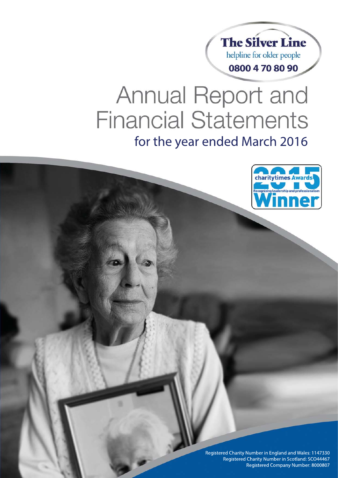

# **Annual Report and Financial Statements** for the year ended March 2016



Registered Charity Number in England and Wales: 1147330 Registered Charity Number in Scotland: SCO44467 Registered Company Number: 8000807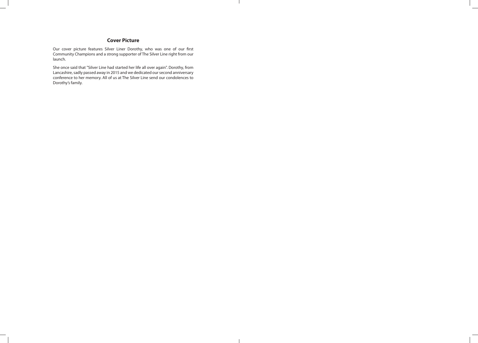# **Cover Picture**

Our cover picture features Silver Liner Dorothy, who was one of our first Community Champions and a strong supporter of The Silver Line right from our launch.

 She once said that "Silver Line had started her life all over again". Dorothy, from Lancashire, sadly passed away in 2015 and we dedicated our second anniversary conference to her memory. All of us at The Silver Line send our condolences to Dorothy's family.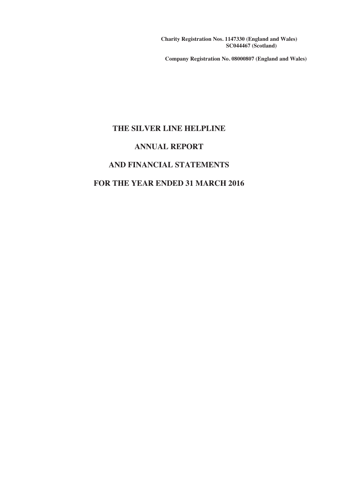**Charity Registration Nos. 1147330 (England and Wales) SC044467 (Scotland)**

**Company Registration No. 08000807 (England and Wales)**

# **THE SILVER LINE HELPLINE**

# **ANNUAL REPORT**

### **AND FINANCIAL STATEMENTS**

# **FOR THE YEAR ENDED 31 MARCH 2016**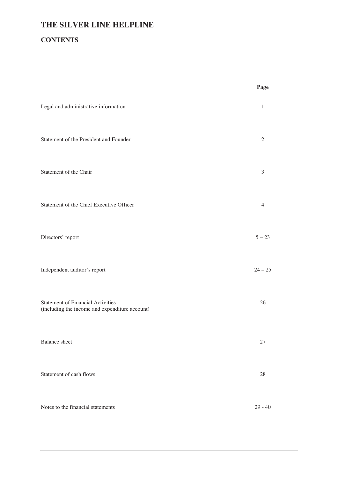### **CONTENTS**

|                                                                                            | Page           |
|--------------------------------------------------------------------------------------------|----------------|
| Legal and administrative information                                                       | $\mathbf{1}$   |
| Statement of the President and Founder                                                     | $\mathfrak{2}$ |
| Statement of the Chair                                                                     | $\mathfrak{Z}$ |
| Statement of the Chief Executive Officer                                                   | $\overline{4}$ |
| Directors' report                                                                          | $5 - 23$       |
| Independent auditor's report                                                               | $24 - 25$      |
| <b>Statement of Financial Activities</b><br>(including the income and expenditure account) | 26             |
| <b>Balance</b> sheet                                                                       | 27             |
| Statement of cash flows                                                                    | 28             |
| Notes to the financial statements                                                          | $29 - 40$      |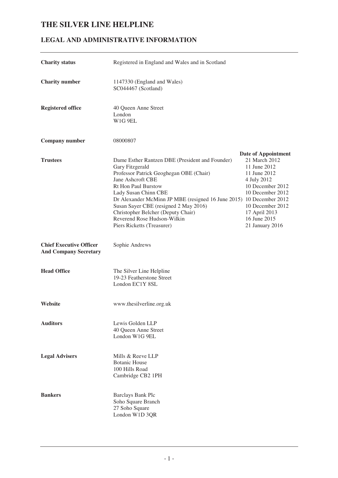# **LEGAL AND ADMINISTRATIVE INFORMATION**

| <b>Charity status</b>                                          | Registered in England and Wales and in Scotland                                                                                                                                                                                                                                                                                                                                                             |                                                                                                                                                                                                     |
|----------------------------------------------------------------|-------------------------------------------------------------------------------------------------------------------------------------------------------------------------------------------------------------------------------------------------------------------------------------------------------------------------------------------------------------------------------------------------------------|-----------------------------------------------------------------------------------------------------------------------------------------------------------------------------------------------------|
| <b>Charity number</b>                                          | 1147330 (England and Wales)<br>SC044467 (Scotland)                                                                                                                                                                                                                                                                                                                                                          |                                                                                                                                                                                                     |
| <b>Registered office</b>                                       | 40 Queen Anne Street<br>London<br>W1G 9EL                                                                                                                                                                                                                                                                                                                                                                   |                                                                                                                                                                                                     |
| Company number                                                 | 08000807                                                                                                                                                                                                                                                                                                                                                                                                    |                                                                                                                                                                                                     |
| <b>Trustees</b>                                                | Dame Esther Rantzen DBE (President and Founder)<br>Gary Fitzgerald<br>Professor Patrick Geoghegan OBE (Chair)<br>Jane Ashcroft CBE<br><b>Rt Hon Paul Burstow</b><br>Lady Susan Chinn CBE<br>Dr Alexander McMinn JP MBE (resigned 16 June 2015) 10 December 2012<br>Susan Sayer CBE (resigned 2 May 2016)<br>Christopher Belcher (Deputy Chair)<br>Reverend Rose Hudson-Wilkin<br>Piers Ricketts (Treasurer) | Date of Appointment<br>21 March 2012<br>11 June 2012<br>11 June 2012<br>4 July 2012<br>10 December 2012<br>10 December 2012<br>10 December 2012<br>17 April 2013<br>16 June 2015<br>21 January 2016 |
| <b>Chief Executive Officer</b><br><b>And Company Secretary</b> | Sophie Andrews                                                                                                                                                                                                                                                                                                                                                                                              |                                                                                                                                                                                                     |
| <b>Head Office</b>                                             | The Silver Line Helpline<br>19-23 Featherstone Street<br>London EC1Y 8SL                                                                                                                                                                                                                                                                                                                                    |                                                                                                                                                                                                     |
| Website                                                        | www.thesilverline.org.uk                                                                                                                                                                                                                                                                                                                                                                                    |                                                                                                                                                                                                     |
| <b>Auditors</b>                                                | Lewis Golden LLP<br>40 Queen Anne Street<br>London W1G 9EL                                                                                                                                                                                                                                                                                                                                                  |                                                                                                                                                                                                     |
| <b>Legal Advisers</b>                                          | Mills & Reeve LLP<br><b>Botanic House</b><br>100 Hills Road<br>Cambridge CB2 1PH                                                                                                                                                                                                                                                                                                                            |                                                                                                                                                                                                     |
| <b>Bankers</b>                                                 | <b>Barclays Bank Plc</b><br>Soho Square Branch<br>27 Soho Square<br>London W1D 3QR                                                                                                                                                                                                                                                                                                                          |                                                                                                                                                                                                     |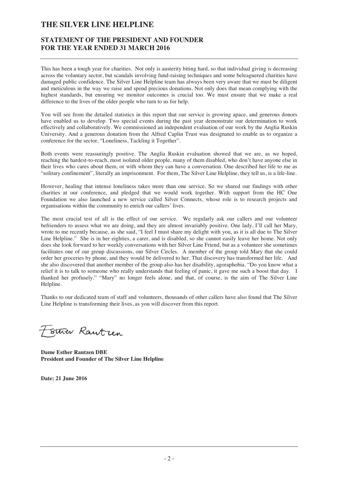### **STATEMENT OF THE PRESIDENT AND FOUNDER FOR THE YEAR ENDED 31 MARCH 2016**

This has been a tough year for charities. Not only is austerity biting hard, so that individual giving is decreasing across the voluntary sector, but scandals involving fund-raising techniques and some beleaguered charities have damaged public confidence. The Silver Line Helpline team has always been very aware that we must be diligent and meticulous in the way we raise and spend precious donations. Not only does that mean complying with the highest standards, but ensuring we monitor outcomes is crucial too. We must ensure that we make a real difference to the lives of the older people who turn to us for help.

You will see from the detailed statistics in this report that our service is growing apace, and generous donors have enabled us to develop. Two special events during the past year demonstrate our determination to work effectively and collaboratively. We commissioned an independent evaluation of our work by the Anglia Ruskin University. And a generous donation from the Alfred Caplin Trust was designated to enable us to organize a conference for the sector, "Loneliness, Tackling it Together".

Both events were reassuringly positive. The Anglia Ruskin evaluation showed that we are, as we hoped, reaching the hardest-to-reach, most isolated older people, many of them disabled, who don't have anyone else in their lives who cares about them, or with whom they can have a conversation. One described her life to me as "solitary confinement", literally an imprisonment. For them, The Silver Line Helpline, they tell us, is a life-line.

However, healing that intense loneliness takes more than one service. So we shared our findings with other charities at our conference, and pledged that we would work together. With support from the HC One Foundation we also launched a new service called Silver Connects, whose role is to research projects and organisations within the community to enrich our callers' lives.

The most crucial test of all is the effect of our service. We regularly ask our callers and our volunteer befrienders to assess what we are doing, and they are almost invariably positive. One lady, I'll call her Mary, wrote to me recently because, as she said, "I feel I must share my delight with you, as it is all due to The Silver Line Helpline." She is in her eighties, a carer, and is disabled, so she cannot easily leave her home. Not only does she look forward to her weekly conversations with her Silver Line Friend, but as a volunteer she sometimes facilitates one of our group discussions, our Silver Circles. A member of the group told Mary that she could order her groceries by phone, and they would be delivered to her. That discovery has transformed her life. And she also discovered that another member of the group also has her disability, agoraphobia. "Do you know what a relief it is to talk to someone who really understands that feeling of panic, it gave me such a boost that day. I thanked her profusely." "Mary" no longer feels alone, and that, of course, is the aim of The Silver Line Helpline.

Thanks to our dedicated team of staff and volunteers, thousands of other callers have also found that The Silver Line Helpline is transforming their lives, as you will discover from this report.

Stuer Rantren

**Dame Esther Rantzen DBE President and Founder of The Silver Line Helpline**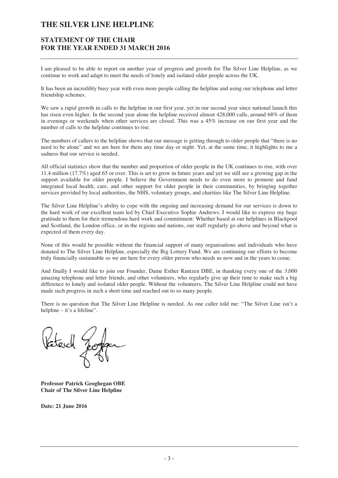### **STATEMENT OF THE CHAIR FOR THE YEAR ENDED 31 MARCH 2016**

I am pleased to be able to report on another year of progress and growth for The Silver Line Helpline, as we continue to work and adapt to meet the needs of lonely and isolated older people across the UK.

It has been an incredibly busy year with even more people calling the helpline and using our telephone and letter friendship schemes.

We saw a rapid growth in calls to the helpline in our first year, yet in our second year since national launch this has risen even higher. In the second year alone the helpline received almost 428,000 calls, around 68% of them in evenings or weekends when other services are closed. This was a 45% increase on our first year and the number of calls to the helpline continues to rise.

The numbers of callers to the helpline shows that our message is getting through to older people that "there is no need to be alone" and we are here for them any time day or night. Yet, at the same time, it highlights to me a sadness that our service is needed.

All official statistics show that the number and proportion of older people in the UK continues to rise, with over 11.4 million (17.7%) aged 65 or over. This is set to grow in future years and yet we still see a growing gap in the support available for older people. I believe the Government needs to do even more to promote and fund integrated local health, care, and other support for older people in their communities, by bringing together services provided by local authorities, the NHS, voluntary groups, and charities like The Silver Line Helpline.

The Silver Line Helpline's ability to cope with the ongoing and increasing demand for our services is down to the hard work of our excellent team led by Chief Executive Sophie Andrews. I would like to express my huge gratitude to them for their tremendous hard work and commitment: Whether based at our helplines in Blackpool and Scotland, the London office, or in the regions and nations, our staff regularly go above and beyond what is expected of them every day.

None of this would be possible without the financial support of many organisations and individuals who have donated to The Silver Line Helpline, especially the Big Lottery Fund. We are continuing our efforts to become truly financially sustainable so we are here for every older person who needs us now and in the years to come.

And finally I would like to join our Founder, Dame Esther Rantzen DBE, in thanking every one of the 3,000 amazing telephone and letter friends, and other volunteers, who regularly give up their time to make such a big difference to lonely and isolated older people. Without the volunteers, The Silver Line Helpline could not have made such progress in such a short time and reached out to so many people.

There is no question that The Silver Line Helpline is needed. As one caller told me: "The Silver Line isn't a helpline – it's a lifeline".

ech

**Professor Patrick Geoghegan OBE Chair of The Silver Line Helpline**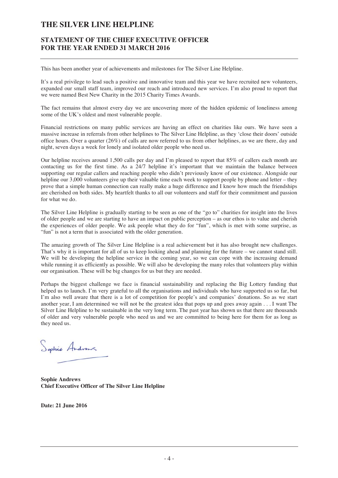### **STATEMENT OF THE CHIEF EXECUTIVE OFFICER FOR THE YEAR ENDED 31 MARCH 2016**

This has been another year of achievements and milestones for The Silver Line Helpline.

It's a real privilege to lead such a positive and innovative team and this year we have recruited new volunteers, expanded our small staff team, improved our reach and introduced new services. I'm also proud to report that we were named Best New Charity in the 2015 Charity Times Awards.

The fact remains that almost every day we are uncovering more of the hidden epidemic of loneliness among some of the UK's oldest and most vulnerable people.

Financial restrictions on many public services are having an effect on charities like ours. We have seen a massive increase in referrals from other helplines to The Silver Line Helpline, as they 'close their doors' outside office hours. Over a quarter (26%) of calls are now referred to us from other helplines, as we are there, day and night, seven days a week for lonely and isolated older people who need us.

Our helpline receives around 1,500 calls per day and I'm pleased to report that 85% of callers each month are contacting us for the first time. As a 24/7 helpline it's important that we maintain the balance between supporting our regular callers and reaching people who didn't previously know of our existence. Alongside our helpline our 3,000 volunteers give up their valuable time each week to support people by phone and letter – they prove that a simple human connection can really make a huge difference and I know how much the friendships are cherished on both sides. My heartfelt thanks to all our volunteers and staff for their commitment and passion for what we do.

The Silver Line Helpline is gradually starting to be seen as one of the "go to" charities for insight into the lives of older people and we are starting to have an impact on public perception – as our ethos is to value and cherish the experiences of older people. We ask people what they do for "fun", which is met with some surprise, as "fun" is not a term that is associated with the older generation.

The amazing growth of The Silver Line Helpline is a real achievement but it has also brought new challenges. That's why it is important for all of us to keep looking ahead and planning for the future – we cannot stand still. We will be developing the helpline service in the coming year, so we can cope with the increasing demand while running it as efficiently as possible. We will also be developing the many roles that volunteers play within our organisation. These will be big changes for us but they are needed.

Perhaps the biggest challenge we face is financial sustainability and replacing the Big Lottery funding that helped us to launch. I'm very grateful to all the organisations and individuals who have supported us so far, but I'm also well aware that there is a lot of competition for people's and companies' donations. So as we start another year, I am determined we will not be the greatest idea that pops up and goes away again . . . I want The Silver Line Helpline to be sustainable in the very long term. The past year has shown us that there are thousands of older and very vulnerable people who need us and we are committed to being here for them for as long as they need us.

Spohie Androna

**Sophie Andrews Chief Executive Officer of The Silver Line Helpline**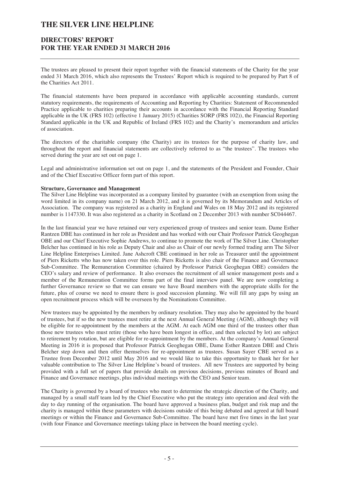### **DIRECTORS' REPORT FOR THE YEAR ENDED 31 MARCH 2016**

The trustees are pleased to present their report together with the financial statements of the Charity for the year ended 31 March 2016, which also represents the Trustees' Report which is required to be prepared by Part 8 of the Charities Act 2011.

The financial statements have been prepared in accordance with applicable accounting standards, current statutory requirements, the requirements of Accounting and Reporting by Charities: Statement of Recommended Practice applicable to charities preparing their accounts in accordance with the Financial Reporting Standard applicable in the UK (FRS 102) (effective 1 January 2015) (Charities SORP (FRS 102)), the Financial Reporting Standard applicable in the UK and Republic of Ireland (FRS 102) and the Charity's memorandum and articles of association.

The directors of the charitable company (the Charity) are its trustees for the purpose of charity law, and throughout the report and financial statements are collectively referred to as "the trustees". The trustees who served during the year are set out on page 1.

Legal and administrative information set out on page 1, and the statements of the President and Founder, Chair and of the Chief Executive Officer form part of this report.

#### **Structure, Governance and Management**

The Silver Line Helpline was incorporated as a company limited by guarantee (with an exemption from using the word limited in its company name) on 21 March 2012, and it is governed by its Memorandum and Articles of Association. The company was registered as a charity in England and Wales on 18 May 2012 and its registered number is 1147330. It was also registered as a charity in Scotland on 2 December 2013 with number SC044467.

In the last financial year we have retained our very experienced group of trustees and senior team. Dame Esther Rantzen DBE has continued in her role as President and has worked with our Chair Professor Patrick Geoghegan OBE and our Chief Executive Sophie Andrews, to continue to promote the work of The Silver Line. Christopher Belcher has continued in his role as Deputy Chair and also as Chair of our newly formed trading arm The Silver Line Helpline Enterprises Limited. Jane Ashcroft CBE continued in her role as Treasurer until the appointment of Piers Ricketts who has now taken over this role. Piers Ricketts is also chair of the Finance and Governance Sub-Committee. The Remuneration Committee (chaired by Professor Patrick Geoghegan OBE) considers the CEO's salary and review of performance. It also oversees the recruitment of all senior management posts and a member of the Remuneration Committee forms part of the final interview panel. We are now completing a further Governance review so that we can ensure we have Board members with the appropriate skills for the future, plus of course we need to ensure there is good succession planning. We will fill any gaps by using an open recruitment process which will be overseen by the Nominations Committee.

New trustees may be appointed by the members by ordinary resolution. They may also be appointed by the board of trustees, but if so the new trustees must retire at the next Annual General Meeting (AGM), although they will be eligible for re-appointment by the members at the AGM. At each AGM one third of the trustees other than those new trustees who must retire (those who have been longest in office, and then selected by lot) are subject to retirement by rotation, but are eligible for re-appointment by the members. At the company's Annual General Meeting in 2016 it is proposed that Professor Patrick Geoghegan OBE, Dame Esther Rantzen DBE and Chris Belcher step down and then offer themselves for re-appointment as trustees. Susan Sayer CBE served as a Trustee from December 2012 until May 2016 and we would like to take this opportunity to thank her for her valuable contribution to The Silver Line Helpline's board of trustees. All new Trustees are supported by being provided with a full set of papers that provide details on previous decisions, previous minutes of Board and Finance and Governance meetings, plus individual meetings with the CEO and Senior team.

The Charity is governed by a board of trustees who meet to determine the strategic direction of the Charity, and managed by a small staff team led by the Chief Executive who put the strategy into operation and deal with the day to day running of the organisation. The board have approved a business plan, budget and risk map and the charity is managed within these parameters with decisions outside of this being debated and agreed at full board meetings or within the Finance and Governance Sub-Committee. The board have met five times in the last year (with four Finance and Governance meetings taking place in between the board meeting cycle).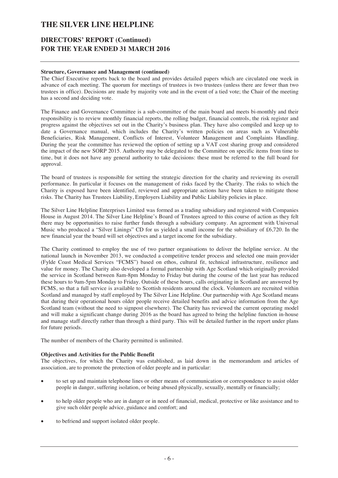# **DIRECTORS' REPORT (Continued) FOR THE YEAR ENDED 31 MARCH 2016**

#### **Structure, Governance and Management (continued)**

The Chief Executive reports back to the board and provides detailed papers which are circulated one week in advance of each meeting. The quorum for meetings of trustees is two trustees (unless there are fewer than two trustees in office). Decisions are made by majority vote and in the event of a tied vote; the Chair of the meeting has a second and deciding vote.

The Finance and Governance Committee is a sub-committee of the main board and meets bi-monthly and their responsibility is to review monthly financial reports, the rolling budget, financial controls, the risk register and progress against the objectives set out in the Charity's business plan. They have also compiled and keep up to date a Governance manual, which includes the Charity's written policies on areas such as Vulnerable Beneficiaries, Risk Management, Conflicts of Interest, Volunteer Management and Complaints Handling. During the year the committee has reviewed the option of setting up a VAT cost sharing group and considered the impact of the new SORP 2015. Authority may be delegated to the Committee on specific items from time to time, but it does not have any general authority to take decisions: these must be referred to the full board for approval.

The board of trustees is responsible for setting the strategic direction for the charity and reviewing its overall performance. In particular it focuses on the management of risks faced by the Charity. The risks to which the Charity is exposed have been identified, reviewed and appropriate actions have been taken to mitigate those risks. The Charity has Trustees Liability, Employers Liability and Public Liability policies in place.

The Silver Line Helpline Enterprises Limited was formed as a trading subsidiary and registered with Companies House in August 2014. The Silver Line Helpline's Board of Trustees agreed to this course of action as they felt there may be opportunities to raise further funds through a subsidiary company. An agreement with Universal Music who produced a "Silver Linings" CD for us yielded a small income for the subsidiary of £6,720. In the new financial year the board will set objectives and a target income for the subsidiary.

The Charity continued to employ the use of two partner organisations to deliver the helpline service. At the national launch in November 2013, we conducted a competitive tender process and selected one main provider (Fylde Coast Medical Services "FCMS") based on ethos, cultural fit, technical infrastructure, resilience and value for money. The Charity also developed a formal partnership with Age Scotland which originally provided the service in Scotland between 8am-8pm Monday to Friday but during the course of the last year has reduced these hours to 9am-5pm Monday to Friday. Outside of these hours, calls originating in Scotland are answered by FCMS, so that a full service is available to Scottish residents around the clock. Volunteers are recruited within Scotland and managed by staff employed by The Silver Line Helpline. Our partnership with Age Scotland means that during their operational hours older people receive detailed benefits and advice information from the Age Scotland team (without the need to signpost elsewhere). The Charity has reviewed the current operating model and will make a significant change during 2016 as the board has agreed to bring the helpline function in-house and manage staff directly rather than through a third party. This will be detailed further in the report under plans for future periods.

The number of members of the Charity permitted is unlimited.

#### **Objectives and Activities for the Public Benefit**

The objectives, for which the Charity was established, as laid down in the memorandum and articles of association, are to promote the protection of older people and in particular:

- to set up and maintain telephone lines or other means of communication or correspondence to assist older people in danger, suffering isolation, or being abused physically, sexually, mentally or financially;
- to help older people who are in danger or in need of financial, medical, protective or like assistance and to give such older people advice, guidance and comfort; and
- to befriend and support isolated older people.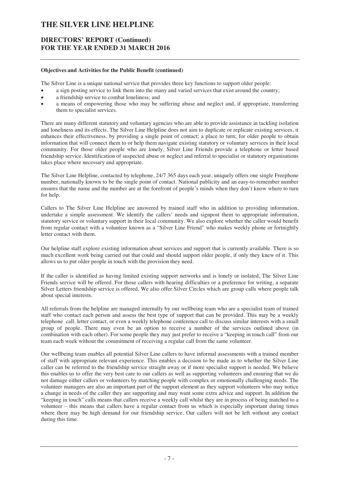### **DIRECTORS' REPORT (Continued) FOR THE YEAR ENDED 31 MARCH 2016**

#### **Objectives and Activities for the Public Benefit (continued)**

The Silver Line is a unique national service that provides three key functions to support older people:

- a sign posting service to link them into the many and varied services that exist around the country;
- a friendship service to combat loneliness; and
- a means of empowering those who may be suffering abuse and neglect and, if appropriate, transferring them to specialist services.

There are many different statutory and voluntary agencies who are able to provide assistance in tackling isolation and loneliness and its effects. The Silver Line Helpline does not aim to duplicate or replicate existing services, it enhances their effectiveness, by providing a single point of contact; a place to turn; for older people to obtain information that will connect them to or help them navigate existing statutory or voluntary services in their local community. For those older people who are lonely, Silver Line Friends provide a telephone or letter based friendship service. Identification of suspected abuse or neglect and referral to specialist or statutory organisations takes place where necessary and appropriate.

The Silver Line Helpline, contacted by telephone, 24/7 365 days each year, uniquely offers one single Freephone number, nationally known to be the single point of contact. National publicity and an easy-to-remember number ensures that the name and the number are at the forefront of people's minds when they don't know where to turn for help.

Callers to The Silver Line Helpline are answered by trained staff who in addition to providing information, undertake a simple assessment. We identify the callers' needs and signpost them to appropriate information, statutory service or voluntary support in their local community. We also explore whether the caller would benefit from regular contact with a volunteer known as a "Silver Line Friend" who makes weekly phone or fortnightly letter contact with them.

Our helpline staff explore existing information about services and support that is currently available. There is so much excellent work being carried out that could and should support older people, if only they knew of it. This allows us to put older people in touch with the provision they need.

If the caller is identified as having limited existing support networks and is lonely or isolated, The Silver Line Friends service will be offered. For those callers with hearing difficulties or a preference for writing, a separate Silver Letters friendship service is offered. We also offer Silver Circles which are group calls where people talk about special interests.

All referrals from the helpline are managed internally by our wellbeing team who are a specialist team of trained staff who contact each person and assess the best type of support that can be provided. This may be a weekly telephone call, letter contact, or even a weekly telephone conference call to discuss similar interests with a small group of people. There may even be an option to receive a number of the services outlined above (in combination with each other). For some people they may just prefer to receive a "keeping in touch call" from our team each week without the commitment of receiving a regular call from the same volunteer.

Our wellbeing team enables all potential Silver Line callers to have informal assessments with a trained member of staff with appropriate relevant experience. This enables a decision to be made as to whether the Silver Line caller can be referred to the friendship service straight away or if more specialist support is needed. We believe this enables us to offer the very best care to our callers as well as supporting volunteers and ensuring that we do not damage either callers or volunteers by matching people with complex or emotionally challenging needs. The volunteer managers are also an important part of the support element as they support volunteers who may notice a change in needs of the caller they are supporting and may want some extra advice and support. In addition the "keeping in touch" calls means that callers receive a weekly call whilst they are in process of being matched to a volunteer – this means that callers have a regular contact from us which is especially important during times where there may be high demand for our friendship service. Our callers will not be left without any contact during this time.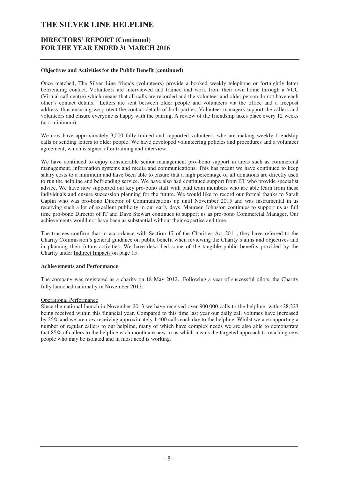### **DIRECTORS' REPORT (Continued) FOR THE YEAR ENDED 31 MARCH 2016**

#### **Objectives and Activities for the Public Benefit (continued)**

Once matched, The Silver Line friends (volunteers) provide a booked weekly telephone or fortnightly letter befriending contact. Volunteers are interviewed and trained and work from their own home through a VCC (Virtual call centre) which means that all calls are recorded and the volunteer and older person do not have each other's contact details. Letters are sent between older people and volunteers via the office and a freepost address, thus ensuring we protect the contact details of both parties. Volunteer managers support the callers and volunteers and ensure everyone is happy with the pairing. A review of the friendship takes place every 12 weeks (at a minimum).

We now have approximately 3,000 fully trained and supported volunteers who are making weekly friendship calls or sending letters to older people. We have developed volunteering policies and procedures and a volunteer agreement, which is signed after training and interview.

We have continued to enjoy considerable senior management pro–bono support in areas such as commercial management, information systems and media and communications. This has meant we have continued to keep salary costs to a minimum and have been able to ensure that a high percentage of all donations are directly used to run the helpline and befriending service. We have also had continued support from BT who provide specialist advice. We have now supported our key pro-bono staff with paid team members who are able learn from these individuals and ensure succession planning for the future. We would like to record our formal thanks to Sarah Caplin who was pro-bono Director of Communications up until November 2015 and was instrumental in us receiving such a lot of excellent publicity in our early days. Maureen Johnston continues to support us as full time pro-bono Director of IT and Dave Stewart continues to support us as pro-bono Commercial Manager. Our achievements would not have been as substantial without their expertise and time.

The trustees confirm that in accordance with Section 17 of the Charities Act 2011, they have referred to the Charity Commission's general guidance on public benefit when reviewing the Charity's aims and objectives and in planning their future activities. We have described some of the tangible public benefits provided by the Charity under Indirect Impacts on page 15.

#### **Achievements and Performance**

The company was registered as a charity on 18 May 2012. Following a year of successful pilots, the Charity fully launched nationally in November 2013.

#### Operational Performance

Since the national launch in November 2013 we have received over 900,000 calls to the helpline, with 428,223 being received within this financial year. Compared to this time last year our daily call volumes have increased by 25% and we are now receiving approximately 1,400 calls each day to the helpline. Whilst we are supporting a number of regular callers to our helpline, many of which have complex needs we are also able to demonstrate that 85% of callers to the helpline each month are new to us which means the targeted approach to reaching new people who may be isolated and in most need is working.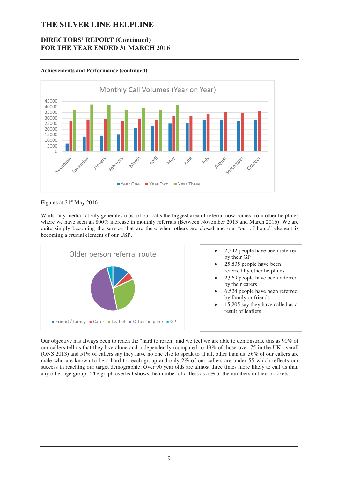### **DIRECTORS' REPORT (Continued) FOR THE YEAR ENDED 31 MARCH 2016**



#### **Achievements and Performance (continued)**

Figures at 31st May 2016

Whilst any media activity generates most of our calls the biggest area of referral now comes from other helplines where we have seen an 800% increase in monthly referrals (Between November 2013 and March 2016). We are quite simply becoming the service that are there when others are closed and our "out of hours" element is becoming a crucial element of our USP.



Our objective has always been to reach the "hard to reach" and we feel we are able to demonstrate this as 90% of our callers tell us that they live alone and independently (compared to 49% of those over 75 in the UK overall (ONS 2013) and 51% of callers say they have no one else to speak to at all, other than us. 36% of our callers are male who are known to be a hard to reach group and only 2% of our callers are under 55 which reflects our success in reaching our target demographic. Over 90 year olds are almost three times more likely to call us than any other age group. The graph overleaf shows the number of callers as a % of the numbers in their brackets.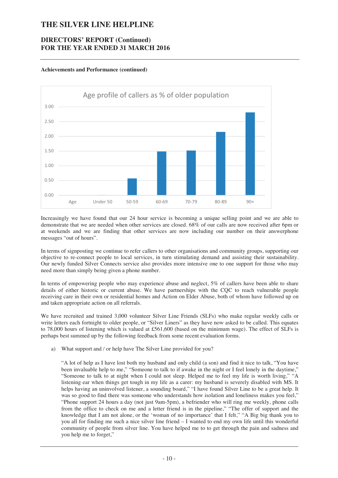### **DIRECTORS' REPORT (Continued) FOR THE YEAR ENDED 31 MARCH 2016**



#### **Achievements and Performance (continued)**

Increasingly we have found that our 24 hour service is becoming a unique selling point and we are able to demonstrate that we are needed when other services are closed. 68% of our calls are now received after 6pm or at weekends and we are finding that other services are now including our number on their answerphone messages "out of hours".

In terms of signposting we continue to refer callers to other organisations and community groups, supporting our objective to re-connect people to local services, in turn stimulating demand and assisting their sustainability. Our newly funded Silver Connects service also provides more intensive one to one support for those who may need more than simply being given a phone number.

In terms of empowering people who may experience abuse and neglect, 5% of callers have been able to share details of either historic or current abuse. We have partnerships with the CQC to reach vulnerable people receiving care in their own or residential homes and Action on Elder Abuse, both of whom have followed up on and taken appropriate action on all referrals.

We have recruited and trained 3,000 volunteer Silver Line Friends (SLFs) who make regular weekly calls or write letters each fortnight to older people, or "Silver Liners" as they have now asked to be called. This equates to 78,000 hours of listening which is valued at £561,600 (based on the minimum wage). The effect of SLFs is perhaps best summed up by the following feedback from some recent evaluation forms.

a) What support and / or help have The Silver Line provided for you?

"A lot of help as I have lost both my husband and only child (a son) and find it nice to talk, "You have been invaluable help to me," "Someone to talk to if awake in the night or I feel lonely in the daytime," "Someone to talk to at night when I could not sleep. Helped me to feel my life is worth living," "A listening ear when things get tough in my life as a carer: my husband is severely disabled with MS. It helps having an uninvolved listener, a sounding board," "I have found Silver Line to be a great help. It was so good to find there was someone who understands how isolation and loneliness makes you feel," "Phone support 24 hours a day (not just 9am-5pm), a befriender who will ring me weekly, phone calls from the office to check on me and a letter friend is in the pipeline," "The offer of support and the knowledge that I am not alone, or the 'woman of no importance' that I felt," "A Big big thank you to you all for finding me such a nice silver line friend – I wanted to end my own life until this wonderful community of people from silver line. You have helped me to to get through the pain and sadness and you help me to forget,"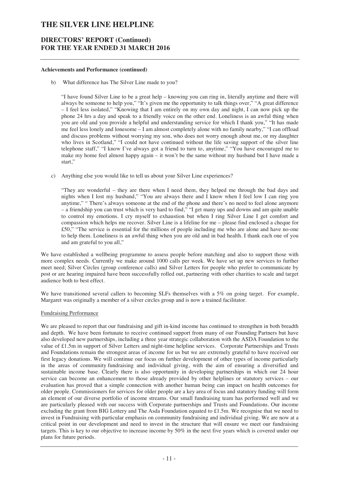### **DIRECTORS' REPORT (Continued) FOR THE YEAR ENDED 31 MARCH 2016**

#### **Achievements and Performance (continued)**

b) What difference has The Silver Line made to you?

"I have found Silver Line to be a great help – knowing you can ring in, literally anytime and there will always be someone to help you," "It's given me the opportunity to talk things over," "A great difference – I feel less isolated," "Knowing that I am entirely on my own day and night, I can now pick up the phone 24 hrs a day and speak to a friendly voice on the other end. Loneliness is an awful thing when you are old and you provide a helpful and understanding service for which I thank you," "It has made me feel less lonely and lonesome – I am almost completely alone with no family nearby," "I can offload and discuss problems without worrying my son, who does not worry enough about me, or my daughter who lives in Scotland," "I could not have continued without the life saving support of the silver line telephone staff," "I know I've always got a friend to turn to, anytime," "You have encouraged me to make my home feel almost happy again – it won't be the same without my husband but I have made a start,"

c) Anything else you would like to tell us about your Silver Line experiences?

"They are wonderful – they are there when I need them, they helped me through the bad days and nights when I lost my husband," "You are always there and I know when I feel low I can ring you anytime," " There's always someone at the end of the phone and there's no need to feel alone anymore – a friendship you can trust which is very hard to find," "I get many ups and downs and am quite unable to control my emotions. I cry myself to exhaustion but when I ring Silver Line I get comfort and compassion which helps me recover. Silver Line is a lifeline for me – please find enclosed a cheque for £50," "The service is essential for the millions of people including me who are alone and have no-one to help them. Loneliness is an awful thing when you are old and in bad health. I thank each one of you and am grateful to you all,"

We have established a wellbeing programme to assess people before matching and also to support those with more complex needs. Currently we make around 1000 calls per week. We have set up new services to further meet need; Silver Circles (group conference calls) and Silver Letters for people who prefer to communicate by post or are hearing impaired have been successfully rolled out, partnering with other charities to scale and target audience both to best effect.

We have transitioned several callers to becoming SLFs themselves with a 5% on going target. For example, Margaret was originally a member of a silver circles group and is now a trained facilitator.

#### Fundraising Performance

We are pleased to report that our fundraising and gift in-kind income has continued to strengthen in both breadth and depth. We have been fortunate to receive continued support from many of our Founding Partners but have also developed new partnerships, including a three year strategic collaboration with the ASDA Foundation to the value of £1.5m in support of Silver Letters and night-time helpline services. Corporate Partnerships and Trusts and Foundations remain the strongest areas of income for us but we are extremely grateful to have received our first legacy donations. We will continue our focus on further development of other types of income particularly in the areas of community fundraising and individual giving, with the aim of ensuring a diversified and sustainable income base. Clearly there is also opportunity in developing partnerships in which our 24 hour service can become an enhancement to those already provided by other helplines or statutory services – our evaluation has proved that a simple connection with another human being can impact on health outcomes for older people. Commissioners for services for older people are a key area of focus and statutory funding will form an element of our diverse portfolio of income streams. Our small fundraising team has performed well and we are particularly pleased with our success with Corporate partnerships and Trusts and Foundations. Our income excluding the grant from BIG Lottery and The Asda Foundation equated to £1.5m. We recognise that we need to invest in Fundraising with particular emphasis on community fundraising and individual giving. We are now at a critical point in our development and need to invest in the structure that will ensure we meet our fundraising targets. This is key to our objective to increase income by 50% in the next five years which is covered under our plans for future periods.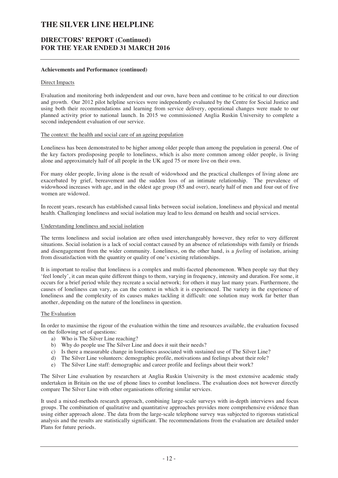### **DIRECTORS' REPORT (Continued) FOR THE YEAR ENDED 31 MARCH 2016**

#### **Achievements and Performance (continued)**

#### Direct Impacts

Evaluation and monitoring both independent and our own, have been and continue to be critical to our direction and growth. Our 2012 pilot helpline services were independently evaluated by the Centre for Social Justice and using both their recommendations and learning from service delivery, operational changes were made to our planned activity prior to national launch. In 2015 we commissioned Anglia Ruskin University to complete a second independent evaluation of our service.

#### The context: the health and social care of an ageing population

Loneliness has been demonstrated to be higher among older people than among the population in general. One of the key factors predisposing people to loneliness, which is also more common among older people, is living alone and approximately half of all people in the UK aged 75 or more live on their own.

For many older people, living alone is the result of widowhood and the practical challenges of living alone are exacerbated by grief, bereavement and the sudden loss of an intimate relationship. The prevalence of widowhood increases with age, and in the oldest age group (85 and over), nearly half of men and four out of five women are widowed.

In recent years, research has established causal links between social isolation, loneliness and physical and mental health. Challenging loneliness and social isolation may lead to less demand on health and social services.

#### Understanding loneliness and social isolation

The terms loneliness and social isolation are often used interchangeably however, they refer to very different situations. Social isolation is a lack of social contact caused by an absence of relationships with family or friends and disengagement from the wider community. Loneliness, on the other hand, is a *feeling* of isolation, arising from dissatisfaction with the quantity or quality of one's existing relationships.

It is important to realise that loneliness is a complex and multi-faceted phenomenon. When people say that they 'feel lonely', it can mean quite different things to them, varying in frequency, intensity and duration. For some, it occurs for a brief period while they recreate a social network; for others it may last many years. Furthermore, the causes of loneliness can vary, as can the context in which it is experienced. The variety in the experience of loneliness and the complexity of its causes makes tackling it difficult: one solution may work far better than another, depending on the nature of the loneliness in question.

#### The Evaluation

In order to maximise the rigour of the evaluation within the time and resources available, the evaluation focused on the following set of questions:

- a) Who is The Silver Line reaching?
- b) Why do people use The Silver Line and does it suit their needs?
- c) Is there a measurable change in loneliness associated with sustained use of The Silver Line?
- d) The Silver Line volunteers: demographic profile, motivations and feelings about their role?
- e) The Silver Line staff: demographic and career profile and feelings about their work?

The Silver Line evaluation by researchers at Anglia Ruskin University is the most extensive academic study undertaken in Britain on the use of phone lines to combat loneliness. The evaluation does not however directly compare The Silver Line with other organisations offering similar services.

It used a mixed-methods research approach, combining large-scale surveys with in-depth interviews and focus groups. The combination of qualitative and quantitative approaches provides more comprehensive evidence than using either approach alone. The data from the large-scale telephone survey was subjected to rigorous statistical analysis and the results are statistically significant. The recommendations from the evaluation are detailed under Plans for future periods.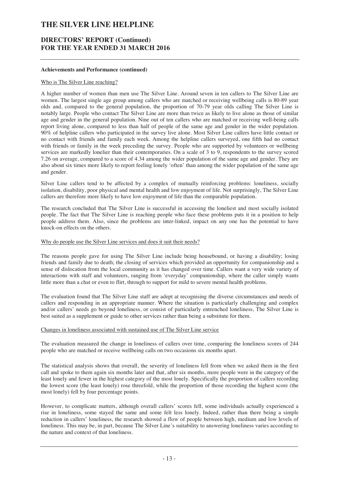### **DIRECTORS' REPORT (Continued) FOR THE YEAR ENDED 31 MARCH 2016**

#### **Achievements and Performance (continued)**

#### Who is The Silver Line reaching?

A higher number of women than men use The Silver Line. Around seven in ten callers to The Silver Line are women. The largest single age group among callers who are matched or receiving wellbeing calls is 80-89 year olds and, compared to the general population, the proportion of 70-79 year olds calling The Silver Line is notably large. People who contact The Silver Line are more than twice as likely to live alone as those of similar age and gender in the general population. Nine out of ten callers who are matched or receiving well-being calls report living alone, compared to less than half of people of the same age and gender in the wider population. 90% of helpline callers who participated in the survey live alone. Most Silver Line callers have little contact or no contact with friends and family each week. Among the helpline callers surveyed, one fifth had no contact with friends or family in the week preceding the survey. People who are supported by volunteers or wellbeing services are markedly lonelier than their contemporaries. On a scale of 3 to 9, respondents to the survey scored 7.26 on average, compared to a score of 4.34 among the wider population of the same age and gender. They are also about six times more likely to report feeling lonely 'often' than among the wider population of the same age and gender.

Silver Line callers tend to be affected by a complex of mutually reinforcing problems: loneliness, socially isolation, disability, poor physical and mental health and low enjoyment of life. Not surprisingly, The Silver Line callers are therefore more likely to have low enjoyment of life than the comparable population.

The research concluded that The Silver Line is successful in accessing the loneliest and most socially isolated people. The fact that The Silver Line is reaching people who face these problems puts it in a position to help people address them. Also, since the problems are inter-linked, impact on any one has the potential to have knock-on effects on the others.

#### Why do people use the Silver Line services and does it suit their needs?

The reasons people gave for using The Silver Line include being housebound, or having a disability; losing friends and family due to death; the closing of services which provided an opportunity for companionship and a sense of dislocation from the local community as it has changed over time. Callers want a very wide variety of interactions with staff and volunteers, ranging from 'everyday' companionship, where the caller simply wants little more than a chat or even to flirt, through to support for mild to severe mental health problems.

The evaluation found that The Silver Line staff are adept at recognising the diverse circumstances and needs of callers and responding in an appropriate manner. Where the situation is particularly challenging and complex and/or callers' needs go beyond loneliness, or consist of particularly entrenched loneliness, The Silver Line is best suited as a supplement or guide to other services rather than being a substitute for them.

#### Changes in loneliness associated with sustained use of The Silver Line service

The evaluation measured the change in loneliness of callers over time, comparing the loneliness scores of 244 people who are matched or receive wellbeing calls on two occasions six months apart.

The statistical analysis shows that overall, the severity of loneliness fell from when we asked them in the first call and spoke to them again six months later and that, after six months, more people were in the category of the least lonely and fewer in the highest category of the most lonely. Specifically the proportion of callers recording the lowest score (the least lonely) rose threefold, while the proportion of those recording the highest score (the most lonely) fell by four percentage points.

However, to complicate matters, although overall callers' scores fell, some individuals actually experienced a rise in loneliness, some stayed the same and some felt less lonely. Indeed, rather than there being a simple reduction in callers' loneliness, the research showed a flow of people between high, medium and low levels of loneliness. This may be, in part, because The Silver Line's suitability to answering loneliness varies according to the nature and context of that loneliness.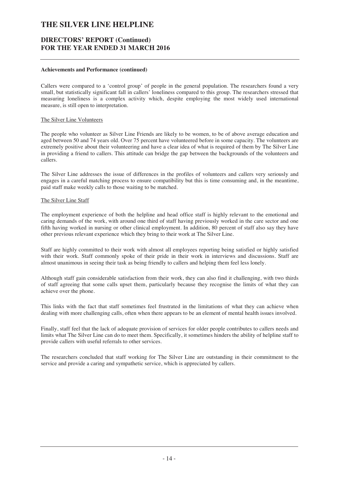### **DIRECTORS' REPORT (Continued) FOR THE YEAR ENDED 31 MARCH 2016**

#### **Achievements and Performance (continued)**

Callers were compared to a 'control group' of people in the general population. The researchers found a very small, but statistically significant fall in callers' loneliness compared to this group. The researchers stressed that measuring loneliness is a complex activity which, despite employing the most widely used international measure, is still open to interpretation.

#### The Silver Line Volunteers

The people who volunteer as Silver Line Friends are likely to be women, to be of above average education and aged between 50 and 74 years old. Over 75 percent have volunteered before in some capacity. The volunteers are extremely positive about their volunteering and have a clear idea of what is required of them by The Silver Line in providing a friend to callers. This attitude can bridge the gap between the backgrounds of the volunteers and callers.

The Silver Line addresses the issue of differences in the profiles of volunteers and callers very seriously and engages in a careful matching process to ensure compatibility but this is time consuming and, in the meantime, paid staff make weekly calls to those waiting to be matched.

#### The Silver Line Staff

The employment experience of both the helpline and head office staff is highly relevant to the emotional and caring demands of the work, with around one third of staff having previously worked in the care sector and one fifth having worked in nursing or other clinical employment. In addition, 80 percent of staff also say they have other previous relevant experience which they bring to their work at The Silver Line.

Staff are highly committed to their work with almost all employees reporting being satisfied or highly satisfied with their work. Staff commonly spoke of their pride in their work in interviews and discussions. Staff are almost unanimous in seeing their task as being friendly to callers and helping them feel less lonely.

Although staff gain considerable satisfaction from their work, they can also find it challenging, with two thirds of staff agreeing that some calls upset them, particularly because they recognise the limits of what they can achieve over the phone.

This links with the fact that staff sometimes feel frustrated in the limitations of what they can achieve when dealing with more challenging calls, often when there appears to be an element of mental health issues involved.

Finally, staff feel that the lack of adequate provision of services for older people contributes to callers needs and limits what The Silver Line can do to meet them. Specifically, it sometimes hinders the ability of helpline staff to provide callers with useful referrals to other services.

The researchers concluded that staff working for The Silver Line are outstanding in their commitment to the service and provide a caring and sympathetic service, which is appreciated by callers.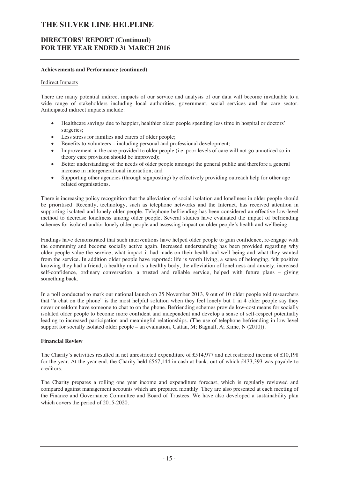### **DIRECTORS' REPORT (Continued) FOR THE YEAR ENDED 31 MARCH 2016**

#### **Achievements and Performance (continued)**

#### Indirect Impacts

There are many potential indirect impacts of our service and analysis of our data will become invaluable to a wide range of stakeholders including local authorities, government, social services and the care sector. Anticipated indirect impacts include:

- Healthcare savings due to happier, healthier older people spending less time in hospital or doctors' surgeries;
- Less stress for families and carers of older people;
- $\bullet$  Benefits to volunteers including personal and professional development;
- Improvement in the care provided to older people (i.e. poor levels of care will not go unnoticed so in theory care provision should be improved);
- Better understanding of the needs of older people amongst the general public and therefore a general increase in intergenerational interaction; and
- Supporting other agencies (through signposting) by effectively providing outreach help for other age related organisations.

There is increasing policy recognition that the alleviation of social isolation and loneliness in older people should be prioritised. Recently, technology, such as telephone networks and the Internet, has received attention in supporting isolated and lonely older people. Telephone befriending has been considered an effective low-level method to decrease loneliness among older people. Several studies have evaluated the impact of befriending schemes for isolated and/or lonely older people and assessing impact on older people's health and wellbeing.

Findings have demonstrated that such interventions have helped older people to gain confidence, re-engage with the community and become socially active again. Increased understanding has been provided regarding why older people value the service, what impact it had made on their health and well-being and what they wanted from the service. In addition older people have reported: life is worth living, a sense of belonging, felt positive knowing they had a friend, a healthy mind is a healthy body, the alleviation of loneliness and anxiety, increased self-confidence, ordinary conversation, a trusted and reliable service, helped with future plans – giving something back.

In a poll conducted to mark our national launch on 25 November 2013, 9 out of 10 older people told researchers that "a chat on the phone" is the most helpful solution when they feel lonely but 1 in 4 older people say they never or seldom have someone to chat to on the phone. Befriending schemes provide low-cost means for socially isolated older people to become more confident and independent and develop a sense of self-respect potentially leading to increased participation and meaningful relationships. (The use of telephone befriending in low level support for socially isolated older people – an evaluation, Cattan, M; Bagnall, A; Kime, N (2010)).

#### **Financial Review**

The Charity's activities resulted in net unrestricted expenditure of £514,977 and net restricted income of £10,198 for the year. At the year end, the Charity held £567,144 in cash at bank, out of which £433,393 was payable to creditors.

The Charity prepares a rolling one year income and expenditure forecast, which is regularly reviewed and compared against management accounts which are prepared monthly. They are also presented at each meeting of the Finance and Governance Committee and Board of Trustees. We have also developed a sustainability plan which covers the period of 2015-2020.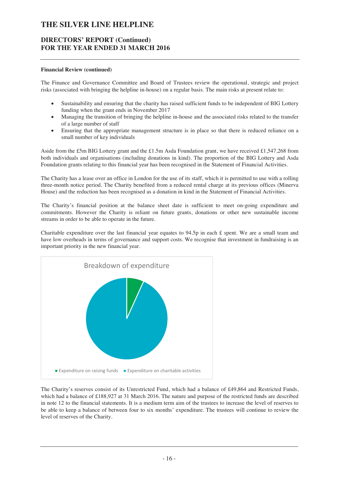### **DIRECTORS' REPORT (Continued) FOR THE YEAR ENDED 31 MARCH 2016**

#### **Financial Review (continued)**

The Finance and Governance Committee and Board of Trustees review the operational, strategic and project risks (associated with bringing the helpline in-house) on a regular basis. The main risks at present relate to:

- Sustainability and ensuring that the charity has raised sufficient funds to be independent of BIG Lottery funding when the grant ends in November 2017
- Managing the transition of bringing the helpline in-house and the associated risks related to the transfer of a large number of staff
- Ensuring that the appropriate management structure is in place so that there is reduced reliance on a small number of key individuals

Aside from the £5m BIG Lottery grant and the £1.5m Asda Foundation grant, we have received £1,547,268 from both individuals and organisations (including donations in kind). The proportion of the BIG Lottery and Asda Foundation grants relating to this financial year has been recognised in the Statement of Financial Activities.

The Charity has a lease over an office in London for the use of its staff, which it is permitted to use with a rolling three-month notice period. The Charity benefited from a reduced rental charge at its previous offices (Minerva House) and the reduction has been recognised as a donation in kind in the Statement of Financial Activities.

The Charity's financial position at the balance sheet date is sufficient to meet on-going expenditure and commitments. However the Charity is reliant on future grants, donations or other new sustainable income streams in order to be able to operate in the future.

Charitable expenditure over the last financial year equates to 94.5p in each £ spent. We are a small team and have low overheads in terms of governance and support costs. We recognise that investment in fundraising is an important priority in the new financial year.



The Charity's reserves consist of its Unrestricted Fund, which had a balance of £49,864 and Restricted Funds, which had a balance of £188,927 at 31 March 2016. The nature and purpose of the restricted funds are described in note 12 to the financial statements. It is a medium term aim of the trustees to increase the level of reserves to be able to keep a balance of between four to six months' expenditure. The trustees will continue to review the level of reserves of the Charity.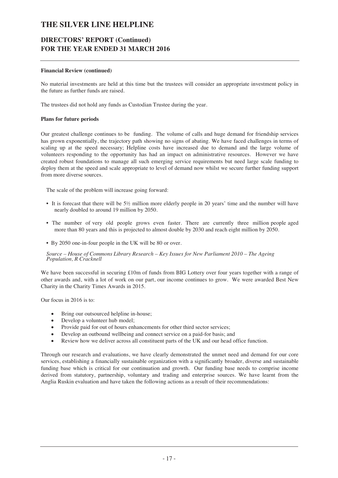### **DIRECTORS' REPORT (Continued) FOR THE YEAR ENDED 31 MARCH 2016**

#### **Financial Review (continued)**

No material investments are held at this time but the trustees will consider an appropriate investment policy in the future as further funds are raised.

The trustees did not hold any funds as Custodian Trustee during the year.

#### **Plans for future periods**

Our greatest challenge continues to be funding. The volume of calls and huge demand for friendship services has grown exponentially, the trajectory path showing no signs of abating. We have faced challenges in terms of scaling up at the speed necessary; Helpline costs have increased due to demand and the large volume of volunteers responding to the opportunity has had an impact on administrative resources. However we have created robust foundations to manage all such emerging service requirements but need large scale funding to deploy them at the speed and scale appropriate to level of demand now whilst we secure further funding support from more diverse sources.

The scale of the problem will increase going forward:

- It is forecast that there will be 5½ million more elderly people in 20 years' time and the number will have nearly doubled to around 19 million by 2050.
- The number of very old people grows even faster. There are currently three million people aged more than 80 years and this is projected to almost double by 2030 and reach eight million by 2050.
- By 2050 one-in-four people in the UK will be 80 or over.

#### *Source – House of Commons Library Research – Key Issues for New Parliament 2010 – The Ageing Population, R Cracknell*

We have been successful in securing £10m of funds from BIG Lottery over four years together with a range of other awards and, with a lot of work on our part, our income continues to grow. We were awarded Best New Charity in the Charity Times Awards in 2015.

Our focus in 2016 is to:

- Bring our outsourced helpline in-house;
- Develop a volunteer hub model:
- Provide paid for out of hours enhancements for other third sector services;
- Develop an outbound wellbeing and connect service on a paid-for basis; and
- x Review how we deliver across all constituent parts of the UK and our head office function.

Through our research and evaluations, we have clearly demonstrated the unmet need and demand for our core services, establishing a financially sustainable organization with a significantly broader, diverse and sustainable funding base which is critical for our continuation and growth. Our funding base needs to comprise income derived from statutory, partnership, voluntary and trading and enterprise sources. We have learnt from the Anglia Ruskin evaluation and have taken the following actions as a result of their recommendations: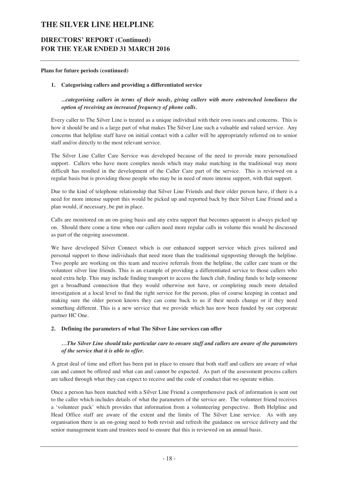### **DIRECTORS' REPORT (Continued) FOR THE YEAR ENDED 31 MARCH 2016**

#### **Plans for future periods (continued)**

#### **1. Categorising callers and providing a differentiated service**

*...categorising callers in terms of their needs, giving callers with more entrenched loneliness the option of receiving an increased frequency of phone calls.*

Every caller to The Silver Line is treated as a unique individual with their own issues and concerns. This is how it should be and is a large part of what makes The Silver Line such a valuable and valued service. Any concerns that helpline staff have on initial contact with a caller will be appropriately referred on to senior staff and/or directly to the most relevant service.

The Silver Line Caller Care Service was developed because of the need to provide more personalised support. Callers who have more complex needs which may make matching in the traditional way more difficult has resulted in the development of the Caller Care part of the service. This is reviewed on a regular basis but is providing those people who may be in need of more intense support, with that support.

Due to the kind of telephone relationship that Silver Line Friends and their older person have, if there is a need for more intense support this would be picked up and reported back by their Silver Line Friend and a plan would, if necessary, be put in place.

Calls are monitored on an on-going basis and any extra support that becomes apparent is always picked up on. Should there come a time when our callers need more regular calls in volume this would be discussed as part of the ongoing assessment.

We have developed Silver Connect which is our enhanced support service which gives tailored and personal support to those individuals that need more than the traditional signposting through the helpline. Two people are working on this team and receive referrals from the helpline, the caller care team or the volunteer silver line friends. This is an example of providing a differentiated service to those callers who need extra help. This may include finding transport to access the lunch club, finding funds to help someone get a broadband connection that they would otherwise not have, or completing much more detailed investigation at a local level to find the right service for the person, plus of course keeping in contact and making sure the older person knows they can come back to us if their needs change or if they need something different. This is a new service that we provide which has now been funded by our corporate partner HC One.

#### **2. Defining the parameters of what The Silver Line services can offer**

#### *…The Silver Line should take particular care to ensure staff and callers are aware of the parameters of the service that it is able to offer.*

A great deal of time and effort has been put in place to ensure that both staff and callers are aware of what can and cannot be offered and what can and cannot be expected. As part of the assessment process callers are talked through what they can expect to receive and the code of conduct that we operate within.

Once a person has been matched with a Silver Line Friend a comprehensive pack of information is sent out to the caller which includes details of what the parameters of the service are. The volunteer friend receives a 'volunteer pack' which provides that information from a volunteering perspective. Both Helpline and Head Office staff are aware of the extent and the limits of The Silver Line service. As with any organisation there is an on-going need to both revisit and refresh the guidance on service delivery and the senior management team and trustees need to ensure that this is reviewed on an annual basis.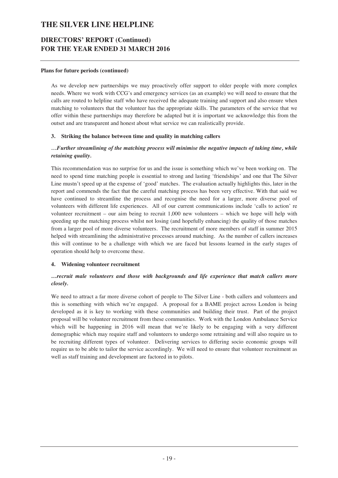### **DIRECTORS' REPORT (Continued) FOR THE YEAR ENDED 31 MARCH 2016**

#### **Plans for future periods (continued)**

As we develop new partnerships we may proactively offer support to older people with more complex needs. Where we work with CCG's and emergency services (as an example) we will need to ensure that the calls are routed to helpline staff who have received the adequate training and support and also ensure when matching to volunteers that the volunteer has the appropriate skills. The parameters of the service that we offer within these partnerships may therefore be adapted but it is important we acknowledge this from the outset and are transparent and honest about what service we can realistically provide.

#### **3. Striking the balance between time and quality in matching callers**

#### *…Further streamlining of the matching process will minimise the negative impacts of taking time, while retaining quality.*

This recommendation was no surprise for us and the issue is something which we've been working on. The need to spend time matching people is essential to strong and lasting 'friendships' and one that The Silver Line mustn't speed up at the expense of 'good' matches. The evaluation actually highlights this, later in the report and commends the fact that the careful matching process has been very effective. With that said we have continued to streamline the process and recognise the need for a larger, more diverse pool of volunteers with different life experiences. All of our current communications include 'calls to action' re volunteer recruitment – our aim being to recruit 1,000 new volunteers – which we hope will help with speeding up the matching process whilst not losing (and hopefully enhancing) the quality of those matches from a larger pool of more diverse volunteers. The recruitment of more members of staff in summer 2015 helped with streamlining the administrative processes around matching. As the number of callers increases this will continue to be a challenge with which we are faced but lessons learned in the early stages of operation should help to overcome these.

#### **4. Widening volunteer recruitment**

#### **…***recruit male volunteers and those with backgrounds and life experience that match callers more closely.*

We need to attract a far more diverse cohort of people to The Silver Line - both callers and volunteers and this is something with which we're engaged. A proposal for a BAME project across London is being developed as it is key to working with these communities and building their trust. Part of the project proposal will be volunteer recruitment from these communities. Work with the London Ambulance Service which will be happening in 2016 will mean that we're likely to be engaging with a very different demographic which may require staff and volunteers to undergo some retraining and will also require us to be recruiting different types of volunteer. Delivering services to differing socio economic groups will require us to be able to tailor the service accordingly. We will need to ensure that volunteer recruitment as well as staff training and development are factored in to pilots.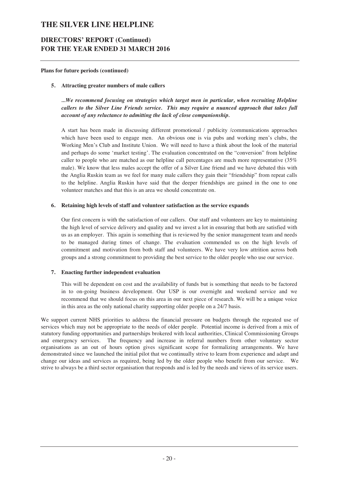### **DIRECTORS' REPORT (Continued) FOR THE YEAR ENDED 31 MARCH 2016**

#### **Plans for future periods (continued)**

#### **5. Attracting greater numbers of male callers**

*...We recommend focusing on strategies which target men in particular, when recruiting Helpline callers to the Silver Line Friends service. This may require a nuanced approach that takes full account of any reluctance to admitting the lack of close companionship.*

A start has been made in discussing different promotional / publicity /communications approaches which have been used to engage men. An obvious one is via pubs and working men's clubs, the Working Men's Club and Institute Union. We will need to have a think about the look of the material and perhaps do some 'market testing'. The evaluation concentrated on the "conversion" from helpline caller to people who are matched as our helpline call percentages are much more representative (35% male). We know that less males accept the offer of a Silver Line friend and we have debated this with the Anglia Ruskin team as we feel for many male callers they gain their "friendship" from repeat calls to the helpline. Anglia Ruskin have said that the deeper friendships are gained in the one to one volunteer matches and that this is an area we should concentrate on.

#### **6. Retaining high levels of staff and volunteer satisfaction as the service expands**

Our first concern is with the satisfaction of our callers. Our staff and volunteers are key to maintaining the high level of service delivery and quality and we invest a lot in ensuring that both are satisfied with us as an employer. This again is something that is reviewed by the senior management team and needs to be managed during times of change. The evaluation commended us on the high levels of commitment and motivation from both staff and volunteers. We have very low attrition across both groups and a strong commitment to providing the best service to the older people who use our service.

#### **7. Enacting further independent evaluation**

This will be dependent on cost and the availability of funds but is something that needs to be factored in to on-going business development. Our USP is our overnight and weekend service and we recommend that we should focus on this area in our next piece of research. We will be a unique voice in this area as the only national charity supporting older people on a 24/7 basis.

We support current NHS priorities to address the financial pressure on budgets through the repeated use of services which may not be appropriate to the needs of older people. Potential income is derived from a mix of statutory funding opportunities and partnerships brokered with local authorities, Clinical Commissioning Groups and emergency services. The frequency and increase in referral numbers from other voluntary sector organisations as an out of hours option gives significant scope for formalizing arrangements. We have demonstrated since we launched the initial pilot that we continually strive to learn from experience and adapt and change our ideas and services as required, being led by the older people who benefit from our service. We strive to always be a third sector organisation that responds and is led by the needs and views of its service users.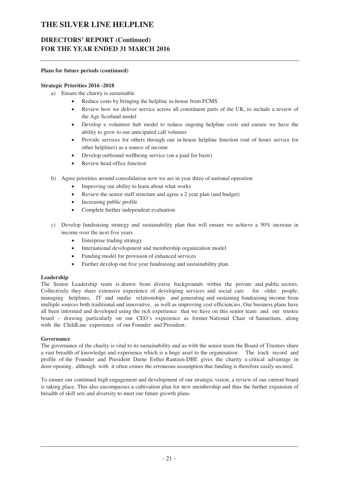# **DIRECTORS' REPORT (Continued) FOR THE YEAR ENDED 31 MARCH 2016**

#### **Plans for future periods (continued)**

#### **Strategic Priorities 2016 -2018**

- a) Ensure the charity is sustainable
	- Reduce costs by bringing the helpline in-house from FCMS
	- Review how we deliver service across all constituent parts of the UK, to include a review of the Age Scotland model
	- Develop a volunteer hub model to reduce ongoing helpline costs and ensure we have the ability to grow to our anticipated call volumes
	- Provide services for others through our in-house helpline function (out of hours service for other helplines) as a source of income
	- Develop outbound wellbeing service (on a paid for basis)
	- $\bullet$  Review head office function
- b) Agree priorities around consolidation now we are in year three of national operation
	- Improving our ability to learn about what works
	- Review the senior staff structure and agree a 2 year plan (and budget)
	- $\bullet$  Increasing public profile
	- Complete further independent evaluation
- c) Develop fundraising strategy and sustainability plan that will ensure we achieve a 50% increase in income over the next five years
	- $\bullet$  Enterprise trading strategy
	- International development and membership organization model
	- Funding model for provision of enhanced services
	- Further develop our five year fundraising and sustainability plan

#### **Leadership**

The Senior Leadership team is drawn from diverse backgrounds within the private and public sectors. Collectively they share extensive experience of developing services and social care for older people, managing helplines, IT and media relationships and generating and sustaining fundraising income from multiple sources both traditional and innovative, as well as improving cost efficiencies. Our business plans have all been informed and developed using the rich experience that we have on this senior team and our trustee board – drawing particularly on our CEO's experience as former National Chair of Samaritans, along with the ChildLine experience of our Founder and President.

#### **Governance**

The governance of the charity is vital to its sustainability and as with the senior team the Board of Trustees share a vast breadth of knowledge and experience which is a huge asset to the organisation. The track record and profile of the Founder and President Dame Esther Rantzen DBE gives the charity a critical advantage in door-opening, although with it often comes the erroneous assumption that funding is therefore easily secured.

To ensure our continued high engagement and development of our strategic vision, a review of our current board is taking place. This also encompasses a cultivation plan for new membership and thus the further expansion of breadth of skill sets and diversity to meet our future growth plans.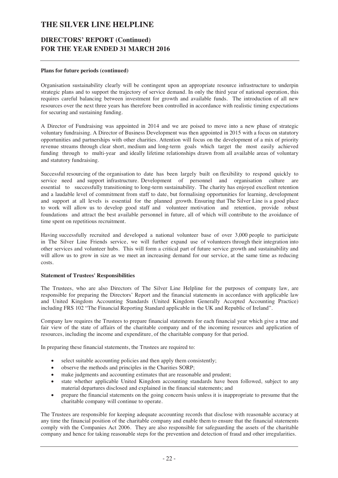### **DIRECTORS' REPORT (Continued) FOR THE YEAR ENDED 31 MARCH 2016**

#### **Plans for future periods (continued)**

Organisation sustainability clearly will be contingent upon an appropriate resource infrastructure to underpin strategic plans and to support the trajectory of service demand. In only the third year of national operation, this requires careful balancing between investment for growth and available funds. The introduction of all new resources over the next three years has therefore been controlled in accordance with realistic timing expectations for securing and sustaining funding.

A Director of Fundraising was appointed in 2014 and we are poised to move into a new phase of strategic voluntary fundraising. A Director of Business Development was then appointed in 2015 with a focus on statutory opportunities and partnerships with other charities. Attention will focus on the development of a mix of priority revenue streams through clear short, medium and long-term goals which target the most easily achieved funding through to multi-year and ideally lifetime relationships drawn from all available areas of voluntary and statutory fundraising.

Successful resourcing of the organisation to date has been largely built on flexibility to respond quickly to service need and support infrastructure. Development of personnel and organisation culture are essential to successfully transitioning to long-term sustainability. The charity has enjoyed excellent retention and a laudable level of commitment from staff to date, but formalising opportunities for learning, development and support at all levels is essential for the planned growth. Ensuring that The Silver Line is a good place to work will allow us to develop good staff and volunteer motivation and retention, provide robust foundations and attract the best available personnel in future, all of which will contribute to the avoidance of time spent on repetitious recruitment.

Having successfully recruited and developed a national volunteer base of over 3,000 people to participate in The Silver Line Friends service, we will further expand use of volunteers through their integration into other services and volunteer hubs. This will form a critical part of future service growth and sustainability and will allow us to grow in size as we meet an increasing demand for our service, at the same time as reducing costs.

#### **Statement of Trustees' Responsibilities**

The Trustees, who are also Directors of The Silver Line Helpline for the purposes of company law, are responsible for preparing the Directors' Report and the financial statements in accordance with applicable law and United Kingdom Accounting Standards (United Kingdom Generally Accepted Accounting Practice) including FRS 102 "The Financial Reporting Standard applicable in the UK and Republic of Ireland".

Company law requires the Trustees to prepare financial statements for each financial year which give a true and fair view of the state of affairs of the charitable company and of the incoming resources and application of resources, including the income and expenditure, of the charitable company for that period.

In preparing these financial statements, the Trustees are required to:

- select suitable accounting policies and then apply them consistently;
- observe the methods and principles in the Charities SORP;
- make judgments and accounting estimates that are reasonable and prudent;
- x state whether applicable United Kingdom accounting standards have been followed, subject to any material departures disclosed and explained in the financial statements; and
- prepare the financial statements on the going concern basis unless it is inappropriate to presume that the charitable company will continue to operate.

The Trustees are responsible for keeping adequate accounting records that disclose with reasonable accuracy at any time the financial position of the charitable company and enable them to ensure that the financial statements comply with the Companies Act 2006. They are also responsible for safeguarding the assets of the charitable company and hence for taking reasonable steps for the prevention and detection of fraud and other irregularities.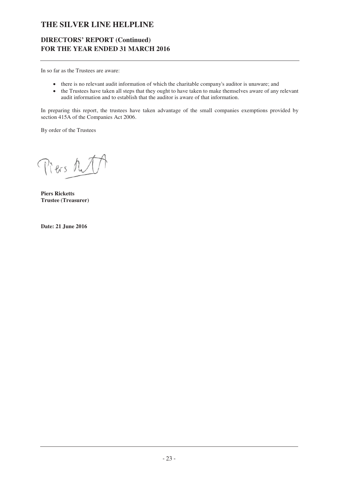# **DIRECTORS' REPORT (Continued) FOR THE YEAR ENDED 31 MARCH 2016**

In so far as the Trustees are aware:

- there is no relevant audit information of which the charitable company's auditor is unaware; and
- the Trustees have taken all steps that they ought to have taken to make themselves aware of any relevant audit information and to establish that the auditor is aware of that information.

In preparing this report, the trustees have taken advantage of the small companies exemptions provided by section 415A of the Companies Act 2006.

By order of the Trustees

Piers R

**Piers Ricketts Trustee (Treasurer)**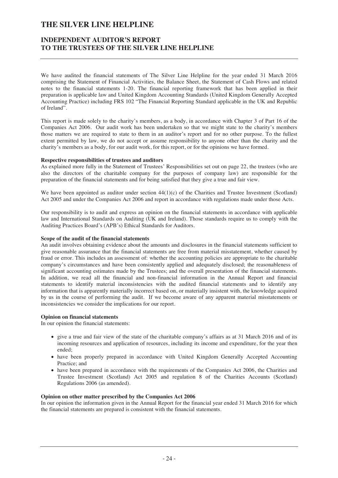### **INDEPENDENT AUDITOR'S REPORT TO THE TRUSTEES OF THE SILVER LINE HELPLINE**

We have audited the financial statements of The Silver Line Helpline for the year ended 31 March 2016 comprising the Statement of Financial Activities, the Balance Sheet, the Statement of Cash Flows and related notes to the financial statements 1-20. The financial reporting framework that has been applied in their preparation is applicable law and United Kingdom Accounting Standards (United Kingdom Generally Accepted Accounting Practice) including FRS 102 "The Financial Reporting Standard applicable in the UK and Republic of Ireland".

This report is made solely to the charity's members, as a body, in accordance with Chapter 3 of Part 16 of the Companies Act 2006. Our audit work has been undertaken so that we might state to the charity's members those matters we are required to state to them in an auditor's report and for no other purpose. To the fullest extent permitted by law, we do not accept or assume responsibility to anyone other than the charity and the charity's members as a body, for our audit work, for this report, or for the opinions we have formed.

#### **Respective responsibilities of trustees and auditors**

As explained more fully in the Statement of Trustees' Responsibilities set out on page 22, the trustees (who are also the directors of the charitable company for the purposes of company law) are responsible for the preparation of the financial statements and for being satisfied that they give a true and fair view.

We have been appointed as auditor under section 44(1)(c) of the Charities and Trustee Investment (Scotland) Act 2005 and under the Companies Act 2006 and report in accordance with regulations made under those Acts.

Our responsibility is to audit and express an opinion on the financial statements in accordance with applicable law and International Standards on Auditing (UK and Ireland). Those standards require us to comply with the Auditing Practices Board's (APB's) Ethical Standards for Auditors.

#### **Scope of the audit of the financial statements**

An audit involves obtaining evidence about the amounts and disclosures in the financial statements sufficient to give reasonable assurance that the financial statements are free from material misstatement, whether caused by fraud or error. This includes an assessment of: whether the accounting policies are appropriate to the charitable company's circumstances and have been consistently applied and adequately disclosed; the reasonableness of significant accounting estimates made by the Trustees; and the overall presentation of the financial statements. In addition, we read all the financial and non-financial information in the Annual Report and financial statements to identify material inconsistencies with the audited financial statements and to identify any information that is apparently materially incorrect based on, or materially insistent with, the knowledge acquired by us in the course of performing the audit. If we become aware of any apparent material misstatements or inconsistencies we consider the implications for our report.

#### **Opinion on financial statements**

In our opinion the financial statements:

- give a true and fair view of the state of the charitable company's affairs as at 31 March 2016 and of its incoming resources and application of resources, including its income and expenditure, for the year then ended;
- have been properly prepared in accordance with United Kingdom Generally Accepted Accounting Practice; and
- have been prepared in accordance with the requirements of the Companies Act 2006, the Charities and Trustee Investment (Scotland) Act 2005 and regulation 8 of the Charities Accounts (Scotland) Regulations 2006 (as amended).

#### **Opinion on other matter prescribed by the Companies Act 2006**

In our opinion the information given in the Annual Report for the financial year ended 31 March 2016 for which the financial statements are prepared is consistent with the financial statements.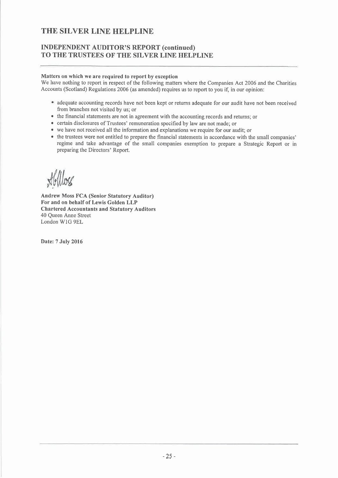### **INDEPENDENT AUDITOR'S REPORT (continued)** TO THE TRUSTEES OF THE SILVER LINE HELPLINE

#### Matters on which we are required to report by exception

We have nothing to report in respect of the following matters where the Companies Act 2006 and the Charities Accounts (Scotland) Regulations 2006 (as amended) requires us to report to you if, in our opinion:

- · adequate accounting records have not been kept or returns adequate for our audit have not been received from branches not visited by us; or
- the financial statements are not in agreement with the accounting records and returns; or
- certain disclosures of Trustees' remuneration specified by law are not made; or
- we have not received all the information and explanations we require for our audit; or
- the trustees were not entitled to prepare the financial statements in accordance with the small companies' regime and take advantage of the small companies exemption to prepare a Strategic Report or in preparing the Directors' Report.

**Andrew Moss FCA (Senior Statutory Auditor)** For and on behalf of Lewis Golden LLP **Chartered Accountants and Statutory Auditors** 40 Oueen Anne Street London W1G 9EL

Date: 7 July 2016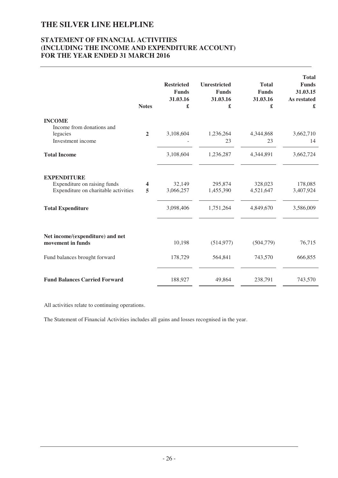### **STATEMENT OF FINANCIAL ACTIVITIES (INCLUDING THE INCOME AND EXPENDITURE ACCOUNT) FOR THE YEAR ENDED 31 MARCH 2016**

|                                                       | <b>Notes</b>   | <b>Restricted</b><br><b>Funds</b><br>31.03.16<br>$\pmb{\mathfrak{L}}$ | <b>Unrestricted</b><br><b>Funds</b><br>31.03.16<br>£ | <b>Total</b><br><b>Funds</b><br>31.03.16<br>£ | <b>Total</b><br><b>Funds</b><br>31.03.15<br>As restated<br>£ |
|-------------------------------------------------------|----------------|-----------------------------------------------------------------------|------------------------------------------------------|-----------------------------------------------|--------------------------------------------------------------|
| <b>INCOME</b>                                         |                |                                                                       |                                                      |                                               |                                                              |
| Income from donations and                             | $\overline{2}$ |                                                                       |                                                      |                                               |                                                              |
| legacies<br>Investment income                         |                | 3,108,604                                                             | 1,236,264<br>23                                      | 4,344,868<br>23                               | 3,662,710<br>14                                              |
|                                                       |                |                                                                       |                                                      |                                               |                                                              |
| <b>Total Income</b>                                   |                | 3,108,604                                                             | 1,236,287                                            | 4,344,891                                     | 3,662,724                                                    |
| <b>EXPENDITURE</b>                                    |                |                                                                       |                                                      |                                               |                                                              |
| Expenditure on raising funds                          | 4              | 32,149                                                                | 295,874                                              | 328,023                                       | 178,085                                                      |
| Expenditure on charitable activities                  | 5              | 3,066,257                                                             | 1,455,390                                            | 4,521,647                                     | 3,407,924                                                    |
| <b>Total Expenditure</b>                              |                | 3,098,406                                                             | 1,751,264                                            | 4,849,670                                     | 3,586,009                                                    |
|                                                       |                |                                                                       |                                                      |                                               |                                                              |
| Net income/(expenditure) and net<br>movement in funds |                | 10,198                                                                | (514, 977)                                           | (504,779)                                     | 76,715                                                       |
| Fund balances brought forward                         |                | 178,729                                                               | 564,841                                              | 743,570                                       | 666,855                                                      |
| <b>Fund Balances Carried Forward</b>                  |                | 188,927                                                               | 49,864                                               | 238,791                                       | 743,570                                                      |

All activities relate to continuing operations.

The Statement of Financial Activities includes all gains and losses recognised in the year.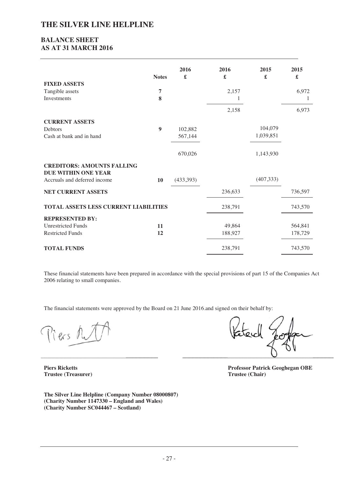### **BALANCE SHEET AS AT 31 MARCH 2016**

|                                                          | <b>Notes</b> | 2016<br>£ | 2016    | 2015<br>£ | 2015<br>£ |
|----------------------------------------------------------|--------------|-----------|---------|-----------|-----------|
| <b>FIXED ASSETS</b>                                      |              |           |         |           |           |
| Tangible assets                                          | 7            |           | 2,157   |           | 6,972     |
| Investments                                              | 8            |           | 1       |           | 1         |
|                                                          |              |           | 2,158   |           | 6,973     |
| <b>CURRENT ASSETS</b>                                    |              |           |         |           |           |
| <b>Debtors</b>                                           | 9            | 102,882   |         | 104,079   |           |
| Cash at bank and in hand                                 |              | 567,144   |         | 1,039,851 |           |
|                                                          |              | 670,026   |         | 1,143,930 |           |
| <b>CREDITORS: AMOUNTS FALLING</b><br>DUE WITHIN ONE YEAR |              |           |         |           |           |
| Accruals and deferred income                             | 10           | (433,393) |         | (407,333) |           |
| <b>NET CURRENT ASSETS</b>                                |              |           | 236,633 |           | 736,597   |
| TOTAL ASSETS LESS CURRENT LIABILITIES                    |              |           | 238,791 |           | 743,570   |
| <b>REPRESENTED BY:</b>                                   |              |           |         |           |           |
| <b>Unrestricted Funds</b>                                | 11           |           | 49,864  |           | 564,841   |
| <b>Restricted Funds</b>                                  | 12           |           | 188,927 |           | 178,729   |
| <b>TOTAL FUNDS</b>                                       |              |           | 238,791 |           | 743,570   |

These financial statements have been prepared in accordance with the special provisions of part 15 of the Companies Act 2006 relating to small companies.

The financial statements were approved by the Board on 21 June 2016.and signed on their behalf by:

 $25$ 

**Piers Ricketts Trustee (Treasurer)**

ech

**Professor Patrick Geoghegan OBE Trustee (Chair)**

**The Silver Line Helpline (Company Number 08000807) (Charity Number 1147330 – England and Wales) (Charity Number SC044467 – Scotland)**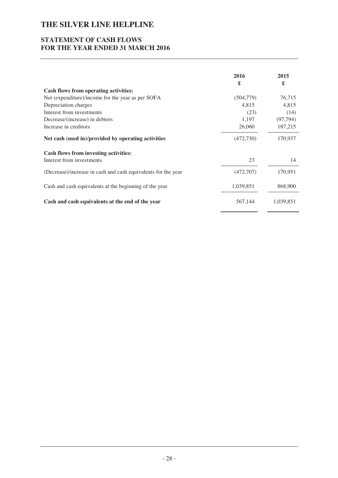# **STATEMENT OF CASH FLOWS FOR THE YEAR ENDED 31 MARCH 2016**

|                                                               | 2016<br>£  | 2015<br>£ |
|---------------------------------------------------------------|------------|-----------|
| <b>Cash flows from operating activities:</b>                  |            |           |
| Net (expenditure)/income for the year as per SOFA             | (504,779)  | 76,715    |
| Depreciation charges                                          | 4.815      | 4,815     |
| Interest from investments                                     | (23)       | (14)      |
| Decrease/(increase) in debtors                                | 1,197      | (97, 794) |
| Increase in creditors                                         | 26,060     | 187,215   |
| Net cash (used in)/provided by operating activities           | (472, 730) | 170,937   |
| <b>Cash flows from investing activities:</b>                  |            |           |
| Interest from investments                                     | 23         | 14        |
| (Decrease)/increase in cash and cash equivalents for the year | (472,707)  | 170,951   |
| Cash and cash equivalents at the beginning of the year        | 1,039,851  | 868,900   |
| Cash and cash equivalents at the end of the year              | 567,144    | 1,039,851 |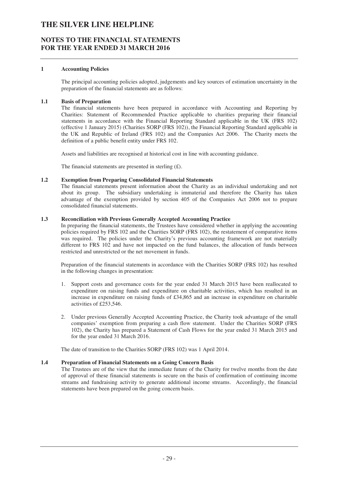### **NOTES TO THE FINANCIAL STATEMENTS FOR THE YEAR ENDED 31 MARCH 2016**

#### **1 Accounting Policies**

The principal accounting policies adopted, judgements and key sources of estimation uncertainty in the preparation of the financial statements are as follows:

#### **1.1 Basis of Preparation**

The financial statements have been prepared in accordance with Accounting and Reporting by Charities: Statement of Recommended Practice applicable to charities preparing their financial statements in accordance with the Financial Reporting Standard applicable in the UK (FRS 102) (effective 1 January 2015) (Charities SORP (FRS 102)), the Financial Reporting Standard applicable in the UK and Republic of Ireland (FRS 102) and the Companies Act 2006. The Charity meets the definition of a public benefit entity under FRS 102.

Assets and liabilities are recognised at historical cost in line with accounting guidance.

The financial statements are presented in sterling  $(E)$ .

#### **1.2 Exemption from Preparing Consolidated Financial Statements**

The financial statements present information about the Charity as an individual undertaking and not about its group. The subsidiary undertaking is immaterial and therefore the Charity has taken advantage of the exemption provided by section 405 of the Companies Act 2006 not to prepare consolidated financial statements.

#### **1.3 Reconciliation with Previous Generally Accepted Accounting Practice**

In preparing the financial statements, the Trustees have considered whether in applying the accounting policies required by FRS 102 and the Charities SORP (FRS 102), the restatement of comparative items was required. The policies under the Charity's previous accounting framework are not materially different to FRS 102 and have not impacted on the fund balances, the allocation of funds between restricted and unrestricted or the net movement in funds.

Preparation of the financial statements in accordance with the Charities SORP (FRS 102) has resulted in the following changes in presentation:

- 1. Support costs and governance costs for the year ended 31 March 2015 have been reallocated to expenditure on raising funds and expenditure on charitable activities, which has resulted in an increase in expenditure on raising funds of £34,865 and an increase in expenditure on charitable activities of £253,546.
- 2. Under previous Generally Accepted Accounting Practice, the Charity took advantage of the small companies' exemption from preparing a cash flow statement. Under the Charities SORP (FRS 102), the Charity has prepared a Statement of Cash Flows for the year ended 31 March 2015 and for the year ended 31 March 2016.

The date of transition to the Charities SORP (FRS 102) was 1 April 2014.

#### **1.4 Preparation of Financial Statements on a Going Concern Basis**

The Trustees are of the view that the immediate future of the Charity for twelve months from the date of approval of these financial statements is secure on the basis of confirmation of continuing income streams and fundraising activity to generate additional income streams. Accordingly, the financial statements have been prepared on the going concern basis.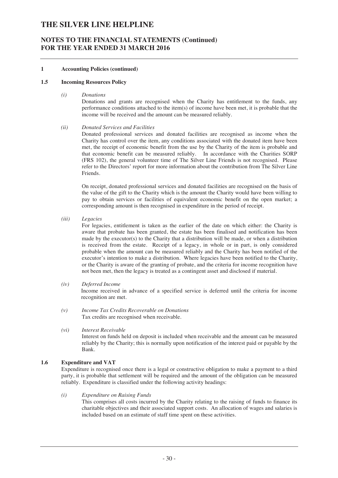### **NOTES TO THE FINANCIAL STATEMENTS (Continued) FOR THE YEAR ENDED 31 MARCH 2016**

#### **1 Accounting Policies (continued)**

#### **1.5 Incoming Resources Policy**

#### *(i) Donations*

Donations and grants are recognised when the Charity has entitlement to the funds, any performance conditions attached to the item(s) of income have been met, it is probable that the income will be received and the amount can be measured reliably.

#### *(ii) Donated Services and Facilities*

Donated professional services and donated facilities are recognised as income when the Charity has control over the item, any conditions associated with the donated item have been met, the receipt of economic benefit from the use by the Charity of the item is probable and that economic benefit can be measured reliably. In accordance with the Charities SORP (FRS 102), the general volunteer time of The Silver Line Friends is not recognised. Please refer to the Directors' report for more information about the contribution from The Silver Line Friends.

On receipt, donated professional services and donated facilities are recognised on the basis of the value of the gift to the Charity which is the amount the Charity would have been willing to pay to obtain services or facilities of equivalent economic benefit on the open market; a corresponding amount is then recognised in expenditure in the period of receipt.

*(iii) Legacies*

For legacies, entitlement is taken as the earlier of the date on which either: the Charity is aware that probate has been granted, the estate has been finalised and notification has been made by the executor(s) to the Charity that a distribution will be made, or when a distribution is received from the estate. Receipt of a legacy, in whole or in part, is only considered probable when the amount can be measured reliably and the Charity has been notified of the executor's intention to make a distribution. Where legacies have been notified to the Charity, or the Charity is aware of the granting of probate, and the criteria for income recognition have not been met, then the legacy is treated as a contingent asset and disclosed if material.

*(iv) Deferred Income*

Income received in advance of a specified service is deferred until the criteria for income recognition are met.

- *(v) Income Tax Credits Recoverable on Donations* Tax credits are recognised when receivable.
- *(vi) Interest Receivable*

Interest on funds held on deposit is included when receivable and the amount can be measured reliably by the Charity; this is normally upon notification of the interest paid or payable by the Bank.

#### **1.6 Expenditure and VAT**

Expenditure is recognised once there is a legal or constructive obligation to make a payment to a third party, it is probable that settlement will be required and the amount of the obligation can be measured reliably. Expenditure is classified under the following activity headings:

*(i) Expenditure on Raising Funds*

This comprises all costs incurred by the Charity relating to the raising of funds to finance its charitable objectives and their associated support costs. An allocation of wages and salaries is included based on an estimate of staff time spent on these activities.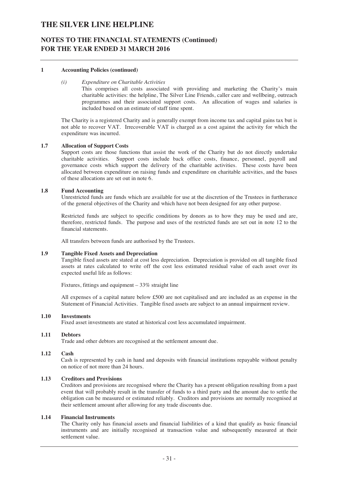### **NOTES TO THE FINANCIAL STATEMENTS (Continued) FOR THE YEAR ENDED 31 MARCH 2016**

#### **1 Accounting Policies (continued)**

#### *(i) Expenditure on Charitable Activities*

This comprises all costs associated with providing and marketing the Charity's main charitable activities: the helpline, The Silver Line Friends, caller care and wellbeing, outreach programmes and their associated support costs. An allocation of wages and salaries is included based on an estimate of staff time spent.

The Charity is a registered Charity and is generally exempt from income tax and capital gains tax but is not able to recover VAT. Irrecoverable VAT is charged as a cost against the activity for which the expenditure was incurred.

#### **1.7 Allocation of Support Costs**

Support costs are those functions that assist the work of the Charity but do not directly undertake charitable activities. Support costs include back office costs, finance, personnel, payroll and governance costs which support the delivery of the charitable activities. These costs have been allocated between expenditure on raising funds and expenditure on charitable activities, and the bases of these allocations are set out in note 6.

#### **1.8 Fund Accounting**

Unrestricted funds are funds which are available for use at the discretion of the Trustees in furtherance of the general objectives of the Charity and which have not been designed for any other purpose.

Restricted funds are subject to specific conditions by donors as to how they may be used and are, therefore, restricted funds. The purpose and uses of the restricted funds are set out in note 12 to the financial statements.

All transfers between funds are authorised by the Trustees.

#### **1.9 Tangible Fixed Assets and Depreciation**

Tangible fixed assets are stated at cost less depreciation. Depreciation is provided on all tangible fixed assets at rates calculated to write off the cost less estimated residual value of each asset over its expected useful life as follows:

Fixtures, fittings and equipment – 33% straight line

All expenses of a capital nature below £500 are not capitalised and are included as an expense in the Statement of Financial Activities. Tangible fixed assets are subject to an annual impairment review.

#### **1.10 Investments**

Fixed asset investments are stated at historical cost less accumulated impairment.

#### **1.11 Debtors**

Trade and other debtors are recognised at the settlement amount due.

#### **1.12 Cash**

Cash is represented by cash in hand and deposits with financial institutions repayable without penalty on notice of not more than 24 hours.

#### **1.13 Creditors and Provisions**

Creditors and provisions are recognised where the Charity has a present obligation resulting from a past event that will probably result in the transfer of funds to a third party and the amount due to settle the obligation can be measured or estimated reliably. Creditors and provisions are normally recognised at their settlement amount after allowing for any trade discounts due.

#### **1.14 Financial Instruments**

The Charity only has financial assets and financial liabilities of a kind that qualify as basic financial instruments and are initially recognised at transaction value and subsequently measured at their settlement value.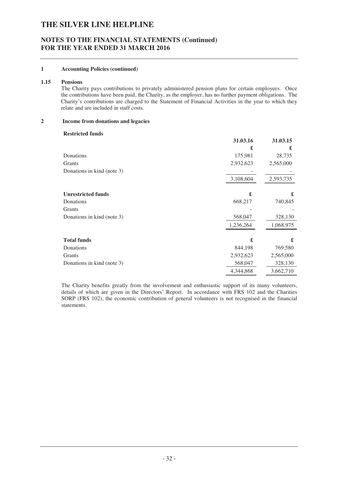### **NOTES TO THE FINANCIAL STATEMENTS (Continued) FOR THE YEAR ENDED 31 MARCH 2016**

#### **1 Accounting Policies (continued)**

#### **1.15 Pensions**

The Charity pays contributions to privately administered pension plans for certain employees. Once the contributions have been paid, the Charity, as the employer, has no further payment obligations. The Charity's contributions are charged to the Statement of Financial Activities in the year to which they relate and are included in staff costs.

#### **2 Income from donations and legacies**

#### **Restricted funds**

|                            | 31.03.16  | 31.03.15  |
|----------------------------|-----------|-----------|
|                            | £         | £         |
| Donations                  | 175,981   | 28,735    |
| Grants                     | 2,932,623 | 2,565,000 |
| Donations in kind (note 3) |           |           |
|                            | 3,108,604 | 2,593,735 |
| <b>Unrestricted funds</b>  | £         | £         |
| Donations                  | 668,217   | 740,845   |
| Grants                     |           |           |
| Donations in kind (note 3) | 568,047   | 328,130   |
|                            | 1,236,264 | 1,068,975 |
| <b>Total funds</b>         | £         | £         |
| Donations                  | 844,198   | 769,580   |
| Grants                     | 2,932,623 | 2,565,000 |
| Donations in kind (note 3) | 568,047   | 328,130   |
|                            | 4,344,868 | 3,662,710 |

The Charity benefits greatly from the involvement and enthusiastic support of its many volunteers, details of which are given in the Directors' Report. In accordance with FRS 102 and the Charities SORP (FRS 102), the economic contribution of general volunteers is not recognised in the financial statements.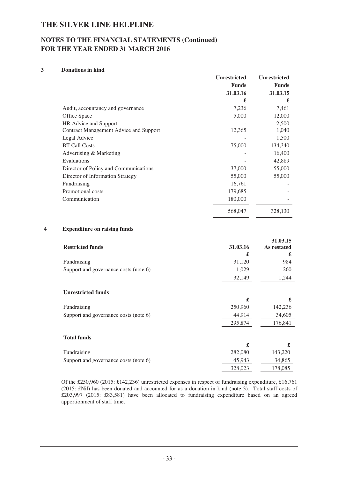# **NOTES TO THE FINANCIAL STATEMENTS (Continued) FOR THE YEAR ENDED 31 MARCH 2016**

#### **3 Donations in kind**

|                                        | <b>Unrestricted</b><br><b>Funds</b> | <b>Unrestricted</b><br><b>Funds</b> |
|----------------------------------------|-------------------------------------|-------------------------------------|
|                                        | 31.03.16                            | 31.03.15                            |
|                                        | £                                   | £                                   |
| Audit, accountancy and governance      | 7,236                               | 7,461                               |
| Office Space                           | 5,000                               | 12,000                              |
| HR Advice and Support                  |                                     | 2,500                               |
| Contract Management Advice and Support | 12,365                              | 1,040                               |
| Legal Advice                           |                                     | 1,500                               |
| <b>BT Call Costs</b>                   | 75,000                              | 134,340                             |
| Advertising & Marketing                |                                     | 16,400                              |
| Evaluations                            |                                     | 42,889                              |
| Director of Policy and Communications  | 37,000                              | 55,000                              |
| Director of Information Strategy       | 55,000                              | 55,000                              |
| Fundraising                            | 16,761                              |                                     |
| Promotional costs                      | 179,685                             |                                     |
| Communication                          | 180,000                             |                                     |
|                                        | 568,047                             | 328,130                             |

#### **4 Expenditure on raising funds**

|                                       |          | 31.03.15    |
|---------------------------------------|----------|-------------|
| <b>Restricted funds</b>               | 31.03.16 | As restated |
|                                       | £        | £           |
| Fundraising                           | 31,120   | 984         |
| Support and governance costs (note 6) | 1,029    | 260         |
|                                       | 32,149   | 1,244       |
|                                       |          |             |
| <b>Unrestricted funds</b>             |          |             |
|                                       | £        | £           |
| Fundraising                           | 250,960  | 142,236     |
| Support and governance costs (note 6) | 44,914   | 34,605      |
|                                       | 295,874  | 176,841     |
|                                       |          |             |
| <b>Total funds</b>                    |          |             |
|                                       | £        | £           |
| Fundraising                           | 282,080  | 143,220     |
| Support and governance costs (note 6) | 45,943   | 34,865      |
|                                       | 328,023  | 178,085     |

Of the £250,960 (2015: £142,236) unrestricted expenses in respect of fundraising expenditure, £16,761 (2015: £Nil) has been donated and accounted for as a donation in kind (note 3). Total staff costs of £203,997 (2015: £83,581) have been allocated to fundraising expenditure based on an agreed apportionment of staff time.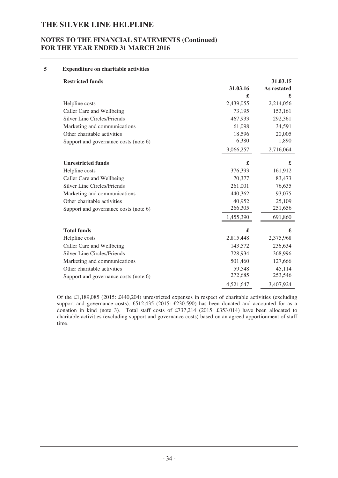### **NOTES TO THE FINANCIAL STATEMENTS (Continued) FOR THE YEAR ENDED 31 MARCH 2016**

#### **5 Expenditure on charitable activities**

| <b>Restricted funds</b>               |           | 31.03.15    |
|---------------------------------------|-----------|-------------|
|                                       | 31.03.16  | As restated |
|                                       | £         | £           |
| Helpline costs                        | 2,439,055 | 2,214,056   |
| Caller Care and Wellbeing             | 73,195    | 153,161     |
| <b>Silver Line Circles/Friends</b>    | 467,933   | 292,361     |
| Marketing and communications          | 61,098    | 34,591      |
| Other charitable activities           | 18,596    | 20,005      |
| Support and governance costs (note 6) | 6,380     | 1,890       |
|                                       | 3,066,257 | 2,716,064   |
| <b>Unrestricted funds</b>             | £         | £           |
| Helpline costs                        | 376,393   | 161,912     |
| Caller Care and Wellbeing             | 70,377    | 83,473      |
| <b>Silver Line Circles/Friends</b>    | 261,001   | 76,635      |
| Marketing and communications          | 440,362   | 93,075      |
| Other charitable activities           | 40.952    | 25,109      |
| Support and governance costs (note 6) | 266,305   | 251,656     |
|                                       | 1,455,390 | 691,860     |
| <b>Total funds</b>                    | £         | £           |
| Helpline costs                        | 2,815,448 | 2,375,968   |
| Caller Care and Wellbeing             | 143,572   | 236,634     |
| <b>Silver Line Circles/Friends</b>    | 728,934   | 368,996     |
| Marketing and communications          | 501,460   | 127,666     |
| Other charitable activities           | 59,548    | 45,114      |
| Support and governance costs (note 6) | 272,685   | 253,546     |
|                                       | 4,521,647 | 3,407,924   |

Of the £1,189,085 (2015: £440,204) unrestricted expenses in respect of charitable activities (excluding support and governance costs), £512,435 (2015: £230,590) has been donated and accounted for as a donation in kind (note 3). Total staff costs of £737,214 (2015: £353,014) have been allocated to charitable activities (excluding support and governance costs) based on an agreed apportionment of staff time.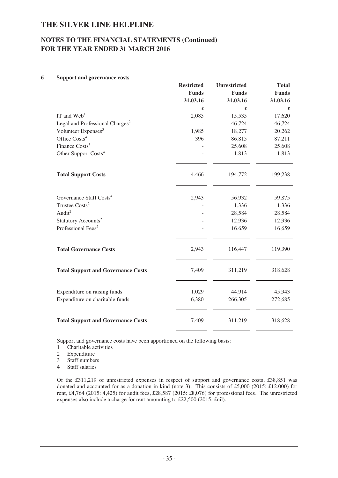### **NOTES TO THE FINANCIAL STATEMENTS (Continued) FOR THE YEAR ENDED 31 MARCH 2016**

| эиррогт ани governance costs                | <b>Restricted</b><br><b>Funds</b> | <b>Unrestricted</b><br><b>Funds</b> | <b>Total</b><br><b>Funds</b> |
|---------------------------------------------|-----------------------------------|-------------------------------------|------------------------------|
|                                             | 31.03.16                          | 31.03.16                            | 31.03.16                     |
|                                             | £                                 | £                                   | £                            |
| IT and $Web1$                               | 2,085                             | 15,535                              | 17,620                       |
| Legal and Professional Charges <sup>2</sup> |                                   | 46,724                              | 46,724                       |
| Volunteer Expenses <sup>3</sup>             | 1,985                             | 18,277                              | 20,262                       |
| Office Costs <sup>4</sup>                   | 396                               | 86,815                              | 87,211                       |
| Finance Costs <sup>3</sup>                  |                                   | 25,608                              | 25,608                       |
| Other Support Costs <sup>4</sup>            |                                   | 1,813                               | 1,813                        |
| <b>Total Support Costs</b>                  | 4,466                             | 194,772                             | 199,238                      |
| Governance Staff Costs <sup>4</sup>         | 2,943                             | 56,932                              | 59,875                       |
| Trustee Costs <sup>2</sup>                  |                                   | 1,336                               | 1,336                        |
| Audit <sup>2</sup>                          |                                   | 28,584                              | 28,584                       |
| Statutory Accounts <sup>2</sup>             |                                   | 12,936                              | 12,936                       |
| Professional Fees <sup>2</sup>              |                                   | 16,659                              | 16,659                       |
| <b>Total Governance Costs</b>               | 2,943                             | 116,447                             | 119,390                      |
| <b>Total Support and Governance Costs</b>   | 7,409                             | 311,219                             | 318,628                      |
| Expenditure on raising funds                | 1,029                             | 44,914                              | 45,943                       |
| Expenditure on charitable funds             | 6,380                             | 266,305                             | 272,685                      |
| <b>Total Support and Governance Costs</b>   | 7,409                             | 311,219                             | 318,628                      |

#### **6 Support and governance costs**

Support and governance costs have been apportioned on the following basis:

- 1 Charitable activities
- 2 Expenditure
- 3 Staff numbers
- Staff salaries

Of the £311,219 of unrestricted expenses in respect of support and governance costs, £38,851 was donated and accounted for as a donation in kind (note 3). This consists of £5,000 (2015: £12,000) for rent, £4,764 (2015: 4,425) for audit fees, £28,587 (2015: £8,076) for professional fees. The unrestricted expenses also include a charge for rent amounting to £22,500 (2015: £nil).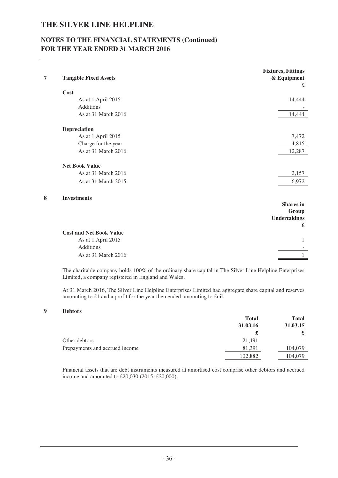### **NOTES TO THE FINANCIAL STATEMENTS (Continued) FOR THE YEAR ENDED 31 MARCH 2016**

| 7 | <b>Tangible Fixed Assets</b>                                                             | <b>Fixtures, Fittings</b><br>& Equipment<br>£         |
|---|------------------------------------------------------------------------------------------|-------------------------------------------------------|
|   | Cost                                                                                     |                                                       |
|   | As at 1 April 2015                                                                       | 14,444                                                |
|   | Additions                                                                                |                                                       |
|   | As at 31 March 2016                                                                      | 14,444                                                |
|   | Depreciation                                                                             |                                                       |
|   | As at 1 April 2015                                                                       | 7,472                                                 |
|   | Charge for the year                                                                      | 4,815                                                 |
|   | As at 31 March 2016                                                                      | 12,287                                                |
|   | <b>Net Book Value</b>                                                                    |                                                       |
|   | As at 31 March 2016                                                                      | 2,157                                                 |
|   | As at 31 March 2015                                                                      | 6,972                                                 |
| 8 | <b>Investments</b>                                                                       | <b>Shares</b> in<br>Group<br><b>Undertakings</b><br>£ |
|   | <b>Cost and Net Book Value</b><br>As at 1 April 2015<br>Additions<br>As at 31 March 2016 | 1<br>1                                                |

The charitable company holds 100% of the ordinary share capital in The Silver Line Helpline Enterprises Limited, a company registered in England and Wales.

At 31 March 2016, The Silver Line Helpline Enterprises Limited had aggregate share capital and reserves amounting to £1 and a profit for the year then ended amounting to £nil.

#### **9 Debtors**

|                                | <b>Total</b> | <b>Total</b> |
|--------------------------------|--------------|--------------|
|                                | 31.03.16     | 31.03.15     |
|                                |              |              |
| Other debtors                  | 21.491       |              |
| Prepayments and accrued income | 81.391       | 104,079      |
|                                | 102,882      | 104,079      |

Financial assets that are debt instruments measured at amortised cost comprise other debtors and accrued income and amounted to £20,030 (2015: £20,000).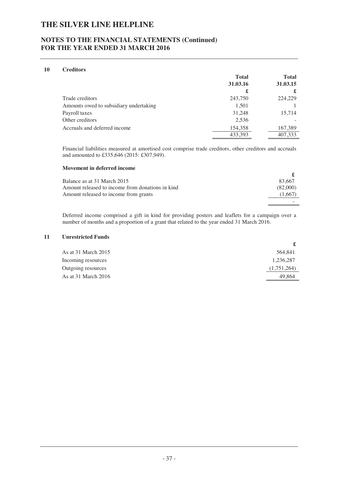### **NOTES TO THE FINANCIAL STATEMENTS (Continued) FOR THE YEAR ENDED 31 MARCH 2016**

#### **10 Creditors**

|                                        | <b>Total</b> | <b>Total</b> |  |
|----------------------------------------|--------------|--------------|--|
|                                        | 31.03.16     | 31.03.15     |  |
|                                        | £            | £            |  |
| Trade creditors                        | 243,750      | 224,229      |  |
| Amounts owed to subsidiary undertaking | 1,501        |              |  |
| Payroll taxes                          | 31,248       | 15,714       |  |
| Other creditors                        | 2,536        |              |  |
| Accruals and deferred income           | 154,358      | 167,389      |  |
|                                        | 433,393      | 407,333      |  |

Financial liabilities measured at amortised cost comprise trade creditors, other creditors and accruals and amounted to £335,646 (2015: £307,949).

| Movement in deferred income                      |          |
|--------------------------------------------------|----------|
|                                                  |          |
| Balance as at 31 March 2015                      | 83,667   |
| Amount released to income from donations in kind | (82,000) |
| Amount released to income from grants            | (1.667)  |
|                                                  |          |

Deferred income comprised a gift in kind for providing posters and leaflets for a campaign over a number of months and a proportion of a grant that related to the year ended 31 March 2016.

#### **11 Unrestricted Funds**

| As at $31$ March $2015$ | 564.841     |
|-------------------------|-------------|
| Incoming resources      | 1.236.287   |
| Outgoing resources      | (1,751,264) |
| As at 31 March $2016$   | 49.864      |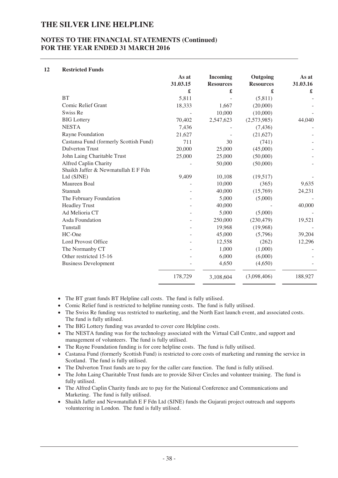### **NOTES TO THE FINANCIAL STATEMENTS (Continued) FOR THE YEAR ENDED 31 MARCH 2016**

#### **12 Restricted Funds**

|                                        | As at<br>31.03.15 | <b>Incoming</b><br><b>Resources</b> | Outgoing<br><b>Resources</b> | As at<br>31.03.16 |
|----------------------------------------|-------------------|-------------------------------------|------------------------------|-------------------|
|                                        | £                 | £                                   | £                            | £                 |
| <b>BT</b>                              | 5,811             |                                     | (5,811)                      |                   |
| <b>Comic Relief Grant</b>              | 18,333            | 1,667                               | (20,000)                     |                   |
| Swiss Re                               |                   | 10,000                              | (10,000)                     |                   |
| <b>BIG</b> Lottery                     | 70,402            | 2,547,623                           | (2,573,985)                  | 44,040            |
| <b>NESTA</b>                           | 7,436             |                                     | (7, 436)                     |                   |
| Rayne Foundation                       | 21,627            |                                     | (21,627)                     |                   |
| Castansa Fund (formerly Scottish Fund) | 711               | 30                                  | (741)                        |                   |
| <b>Dulverton Trust</b>                 | 20,000            | 25,000                              | (45,000)                     |                   |
| John Laing Charitable Trust            | 25,000            | 25,000                              | (50,000)                     |                   |
| <b>Alfred Caplin Charity</b>           |                   | 50,000                              | (50,000)                     |                   |
| Shaikh Jaffer & Newmatullah E F Fdn    |                   |                                     |                              |                   |
| Ltd (SJNE)                             | 9,409             | 10,108                              | (19,517)                     |                   |
| Maureen Boal                           |                   | 10,000                              | (365)                        | 9,635             |
| Stannah                                |                   | 40,000                              | (15,769)                     | 24,231            |
| The February Foundation                |                   | 5,000                               | (5,000)                      |                   |
| <b>Headley Trust</b>                   |                   | 40,000                              |                              | 40,000            |
| Ad Melioria CT                         |                   | 5,000                               | (5,000)                      |                   |
| Asda Foundation                        |                   | 250,000                             | (230, 479)                   | 19,521            |
| Tunstall                               |                   | 19,968                              | (19,968)                     |                   |
| HC-One                                 |                   | 45,000                              | (5,796)                      | 39,204            |
| Lord Provost Office                    |                   | 12,558                              | (262)                        | 12,296            |
| The Normanby CT                        |                   | 1,000                               | (1,000)                      |                   |
| Other restricted 15-16                 |                   | 6,000                               | (6,000)                      |                   |
| <b>Business Development</b>            |                   | 4,650                               | (4,650)                      |                   |
|                                        | 178,729           | 3,108,604                           | (3,098,406)                  | 188,927           |

- The BT grant funds BT Helpline call costs. The fund is fully utilised.
- Comic Relief fund is restricted to helpline running costs. The fund is fully utilised.
- The Swiss Re funding was restricted to marketing, and the North East launch event, and associated costs. The fund is fully utilised.
- The BIG Lottery funding was awarded to cover core Helpline costs.
- The NESTA funding was for the technology associated with the Virtual Call Centre, and support and management of volunteers. The fund is fully utilised.
- The Rayne Foundation funding is for core helpline costs. The fund is fully utilised.
- Castansa Fund (formerly Scottish Fund) is restricted to core costs of marketing and running the service in Scotland. The fund is fully utilised.
- The Dulverton Trust funds are to pay for the caller care function. The fund is fully utilised.
- The John Laing Charitable Trust funds are to provide Silver Circles and volunteer training. The fund is fully utilised.
- The Alfred Caplin Charity funds are to pay for the National Conference and Communications and Marketing. The fund is fully utilised.
- x Shaikh Jaffer and Newmatullah E F Fdn Ltd (SJNE) funds the Gujarati project outreach and supports volunteering in London. The fund is fully utilised.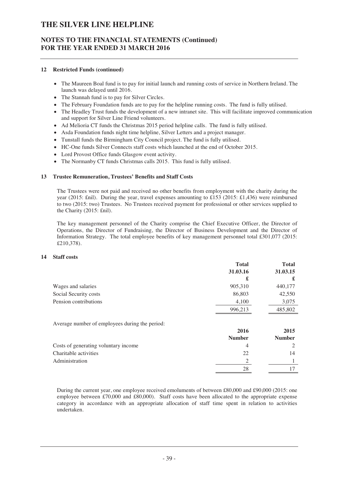### **NOTES TO THE FINANCIAL STATEMENTS (Continued) FOR THE YEAR ENDED 31 MARCH 2016**

#### **12 Restricted Funds (continued)**

- The Maureen Boal fund is to pay for initial launch and running costs of service in Northern Ireland. The launch was delayed until 2016.
- The Stannah fund is to pay for Silver Circles.
- The February Foundation funds are to pay for the helpline running costs. The fund is fully utilised.
- The Headley Trust funds the development of a new intranet site. This will facilitate improved communication and support for Silver Line Friend volunteers.
- $\bullet$  Ad Melioria CT funds the Christmas 2015 period helpline calls. The fund is fully utilised.
- Asda Foundation funds night time helpline, Silver Letters and a project manager.
- Tunstall funds the Birmingham City Council project. The fund is fully utilised.
- HC-One funds Silver Connects staff costs which launched at the end of October 2015.
- Lord Provost Office funds Glasgow event activity.
- The Normanby CT funds Christmas calls 2015. This fund is fully utilised.

#### **13 Trustee Remuneration, Trustees' Benefits and Staff Costs**

The Trustees were not paid and received no other benefits from employment with the charity during the year (2015: £nil). During the year, travel expenses amounting to £153 (2015: £1,436) were reimbursed to two (2015: two) Trustees. No Trustees received payment for professional or other services supplied to the Charity (2015: £nil).

The key management personnel of the Charity comprise the Chief Executive Officer, the Director of Operations, the Director of Fundraising, the Director of Business Development and the Director of Information Strategy. The total employee benefits of key management personnel total £301,077 (2015: £210,378).

#### **14 Staff costs**

|                                                | <b>Total</b>  | <b>Total</b>  |
|------------------------------------------------|---------------|---------------|
|                                                | 31.03.16      | 31.03.15      |
|                                                | £             | £             |
| Wages and salaries                             | 905,310       | 440,177       |
| Social Security costs                          | 86,803        | 42,550        |
| Pension contributions                          | 4,100         | 3,075         |
|                                                | 996,213       | 485,802       |
| Average number of employees during the period: |               |               |
|                                                | 2016          | 2015          |
|                                                | <b>Number</b> | <b>Number</b> |
| Costs of generating voluntary income.          | 4             | 2             |
| Charitable activities                          | 22            | 14            |
| Administration                                 | 2             |               |
|                                                | 28            | 17            |

During the current year, one employee received emoluments of between £80,000 and £90,000 (2015: one employee between £70,000 and £80,000). Staff costs have been allocated to the appropriate expense category in accordance with an appropriate allocation of staff time spent in relation to activities undertaken.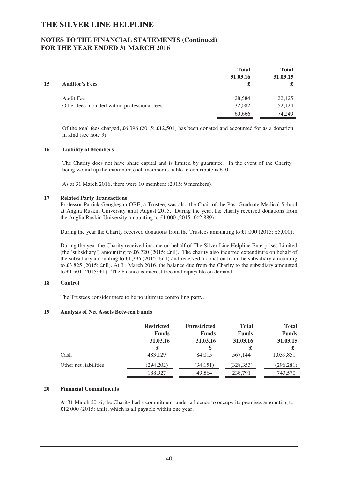### **NOTES TO THE FINANCIAL STATEMENTS (Continued) FOR THE YEAR ENDED 31 MARCH 2016**

| 15 | <b>Auditor's Fees</b>                        | <b>Total</b><br>31.03.16<br>£ | <b>Total</b><br>31.03.15<br>£ |
|----|----------------------------------------------|-------------------------------|-------------------------------|
|    | Audit Fee                                    | 28,584                        | 22,125                        |
|    | Other fees included within professional fees | 32,082                        | 52,124                        |
|    |                                              | 60,666                        | 74.249                        |

Of the total fees charged, £6,396 (2015: £12,501) has been donated and accounted for as a donation in kind (see note 3).

#### **16 Liability of Members**

The Charity does not have share capital and is limited by guarantee. In the event of the Charity being wound up the maximum each member is liable to contribute is £10.

As at 31 March 2016, there were 10 members (2015: 9 members).

#### **17 Related Party Transactions**

Professor Patrick Geoghegan OBE, a Trustee, was also the Chair of the Post Graduate Medical School at Anglia Ruskin University until August 2015. During the year, the charity received donations from the Anglia Ruskin University amounting to £1,000 (2015: £42,889).

During the year the Charity received donations from the Trustees amounting to £1,000 (2015: £5,000).

During the year the Charity received income on behalf of The Silver Line Helpline Enterprises Limited (the 'subsidiary') amounting to £6,720 (2015: £nil). The charity also incurred expenditure on behalf of the subsidiary amounting to £1,395 (2015: £nil) and received a donation from the subsidiary amounting to £3,825 (2015: £nil). At 31 March 2016, the balance due from the Charity to the subsidiary amounted to £1,501 (2015: £1). The balance is interest free and repayable on demand.

#### **18 Control**

The Trustees consider there to be no ultimate controlling party.

#### **19 Analysis of Net Assets Between Funds**

|                       | <b>Restricted</b><br><b>Funds</b><br>31.03.16 | <b>Unrestricted</b><br><b>Funds</b><br>31.03.16 | <b>Total</b><br><b>Funds</b><br>31.03.16 | <b>Total</b><br><b>Funds</b><br>31.03.15 |
|-----------------------|-----------------------------------------------|-------------------------------------------------|------------------------------------------|------------------------------------------|
|                       | £                                             | £                                               | £                                        | £                                        |
| Cash                  | 483,129                                       | 84,015                                          | 567,144                                  | 1,039,851                                |
| Other net liabilities | (294,202)                                     | (34, 151)                                       | (328, 353)                               | (296, 281)                               |
|                       | 188,927                                       | 49.864                                          | 238,791                                  | 743,570                                  |

#### **20 Financial Commitments**

At 31 March 2016, the Charity had a commitment under a licence to occupy its premises amounting to £12,000 (2015: £nil), which is all payable within one year.